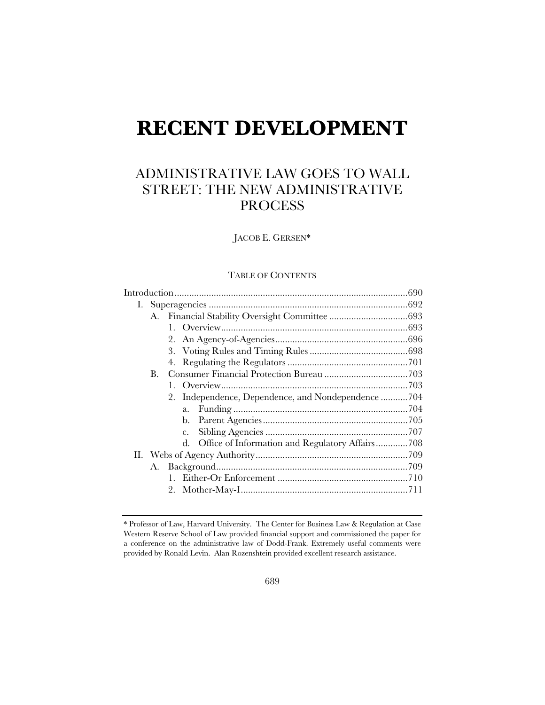# **RECENT DEVELOPMENT**

# ADMINISTRATIVE LAW GOES TO WALL STREET: THE NEW ADMINISTRATIVE PROCESS

JACOB E. GERSEN\*

# TABLE OF CONTENTS

|  | B. |                                                    |  |  |
|--|----|----------------------------------------------------|--|--|
|  |    |                                                    |  |  |
|  |    | 2. Independence, Dependence, and Nondependence 704 |  |  |
|  |    | a.                                                 |  |  |
|  |    |                                                    |  |  |
|  |    | $C_{\star}$                                        |  |  |
|  |    | d. Office of Information and Regulatory Affairs708 |  |  |
|  |    |                                                    |  |  |
|  |    |                                                    |  |  |
|  |    |                                                    |  |  |
|  |    |                                                    |  |  |
|  |    |                                                    |  |  |

<sup>\*</sup> Professor of Law, Harvard University. The Center for Business Law & Regulation at Case Western Reserve School of Law provided financial support and commissioned the paper for a conference on the administrative law of Dodd-Frank. Extremely useful comments were provided by Ronald Levin. Alan Rozenshtein provided excellent research assistance.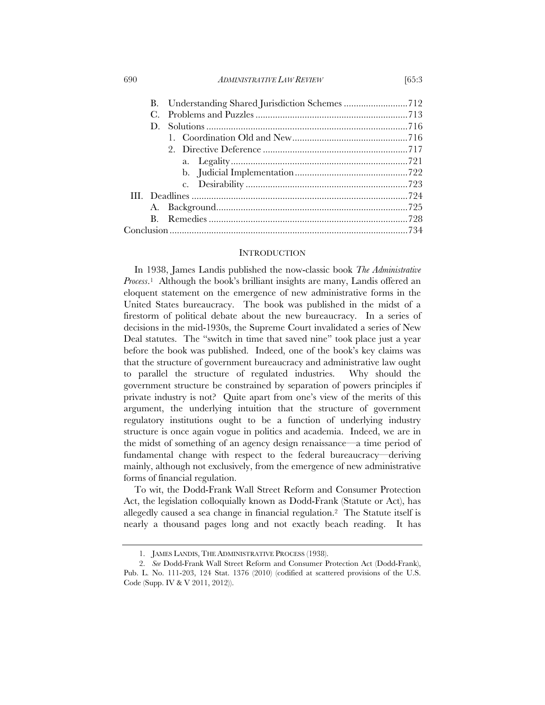690 *ADMINISTRATIVE LAW REVIEW* [65:3

|  | В. |  |  |
|--|----|--|--|
|  |    |  |  |
|  | D. |  |  |
|  |    |  |  |
|  |    |  |  |
|  |    |  |  |
|  |    |  |  |
|  |    |  |  |
|  |    |  |  |
|  |    |  |  |
|  | B. |  |  |
|  |    |  |  |
|  |    |  |  |

### **INTRODUCTION**

In 1938, James Landis published the now-classic book *The Administrative Process*.1 Although the book's brilliant insights are many, Landis offered an eloquent statement on the emergence of new administrative forms in the United States bureaucracy. The book was published in the midst of a firestorm of political debate about the new bureaucracy. In a series of decisions in the mid-1930s, the Supreme Court invalidated a series of New Deal statutes. The "switch in time that saved nine" took place just a year before the book was published. Indeed, one of the book's key claims was that the structure of government bureaucracy and administrative law ought to parallel the structure of regulated industries. Why should the government structure be constrained by separation of powers principles if private industry is not? Quite apart from one's view of the merits of this argument, the underlying intuition that the structure of government regulatory institutions ought to be a function of underlying industry structure is once again vogue in politics and academia. Indeed, we are in the midst of something of an agency design renaissance—a time period of fundamental change with respect to the federal bureaucracy—deriving mainly, although not exclusively, from the emergence of new administrative forms of financial regulation.

To wit, the Dodd-Frank Wall Street Reform and Consumer Protection Act, the legislation colloquially known as Dodd-Frank (Statute or Act), has allegedly caused a sea change in financial regulation.2 The Statute itself is nearly a thousand pages long and not exactly beach reading. It has

 <sup>1.</sup> JAMES LANDIS, THE ADMINISTRATIVE PROCESS (1938).

 <sup>2.</sup> *See* Dodd-Frank Wall Street Reform and Consumer Protection Act (Dodd-Frank), Pub. L. No. 111-203, 124 Stat. 1376 (2010) (codified at scattered provisions of the U.S. Code (Supp. IV & V 2011, 2012)).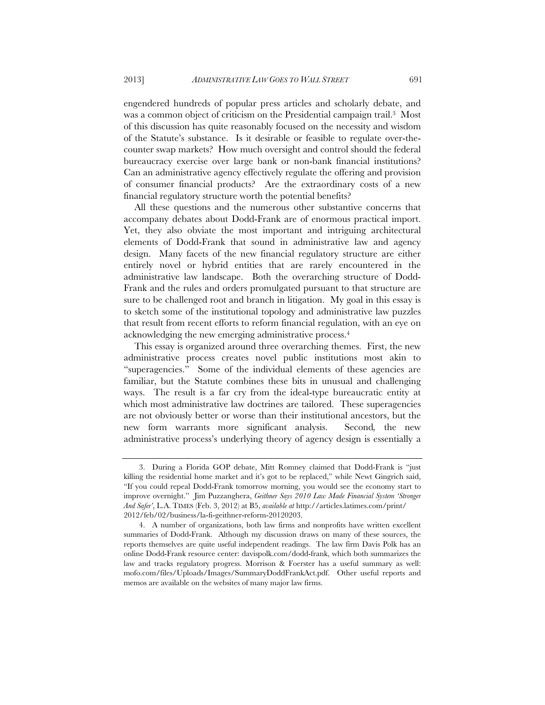engendered hundreds of popular press articles and scholarly debate, and was a common object of criticism on the Presidential campaign trail.3 Most of this discussion has quite reasonably focused on the necessity and wisdom of the Statute's substance. Is it desirable or feasible to regulate over-thecounter swap markets? How much oversight and control should the federal bureaucracy exercise over large bank or non-bank financial institutions? Can an administrative agency effectively regulate the offering and provision of consumer financial products? Are the extraordinary costs of a new financial regulatory structure worth the potential benefits?

All these questions and the numerous other substantive concerns that accompany debates about Dodd-Frank are of enormous practical import. Yet, they also obviate the most important and intriguing architectural elements of Dodd-Frank that sound in administrative law and agency design. Many facets of the new financial regulatory structure are either entirely novel or hybrid entities that are rarely encountered in the administrative law landscape. Both the overarching structure of Dodd-Frank and the rules and orders promulgated pursuant to that structure are sure to be challenged root and branch in litigation. My goal in this essay is to sketch some of the institutional topology and administrative law puzzles that result from recent efforts to reform financial regulation, with an eye on acknowledging the new emerging administrative process.4

This essay is organized around three overarching themes. First, the new administrative process creates novel public institutions most akin to "superagencies." Some of the individual elements of these agencies are familiar, but the Statute combines these bits in unusual and challenging ways. The result is a far cry from the ideal-type bureaucratic entity at which most administrative law doctrines are tailored. These superagencies are not obviously better or worse than their institutional ancestors, but the new form warrants more significant analysis. Second*,* the new administrative process's underlying theory of agency design is essentially a

 <sup>3.</sup> During a Florida GOP debate, Mitt Romney claimed that Dodd-Frank is "just killing the residential home market and it's got to be replaced," while Newt Gingrich said, "If you could repeal Dodd-Frank tomorrow morning, you would see the economy start to improve overnight." Jim Puzzanghera, *Geithner Says 2010 Law Made Financial System 'Stronger And Safer'*, L.A. TIMES (Feb. 3, 2012) at B5, *available at* http://articles.latimes.com/print/ 2012/feb/02/business/la-fi-geithner-reform-20120203.

 <sup>4.</sup> A number of organizations, both law firms and nonprofits have written excellent summaries of Dodd-Frank. Although my discussion draws on many of these sources, the reports themselves are quite useful independent readings. The law firm Davis Polk has an online Dodd-Frank resource center: davispolk.com/dodd-frank, which both summarizes the law and tracks regulatory progress. Morrison & Foerster has a useful summary as well: mofo.com/files/Uploads/Images/SummaryDoddFrankAct.pdf. Other useful reports and memos are available on the websites of many major law firms.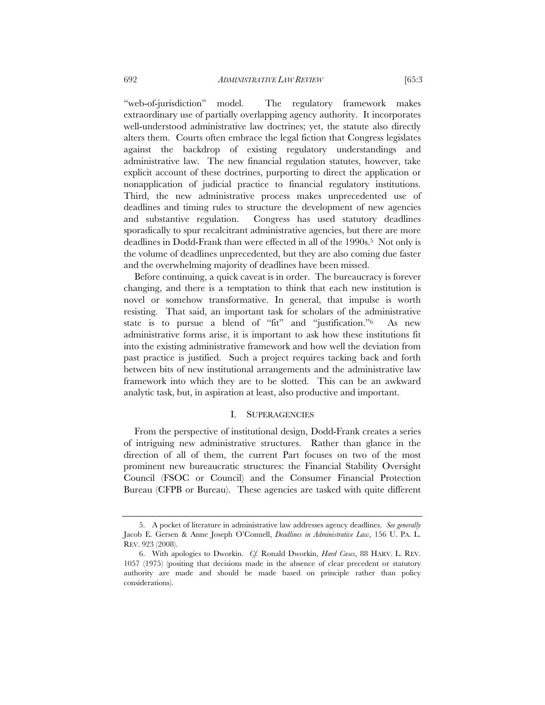"web-of-jurisdiction" model. The regulatory framework makes extraordinary use of partially overlapping agency authority. It incorporates well-understood administrative law doctrines; yet, the statute also directly alters them. Courts often embrace the legal fiction that Congress legislates against the backdrop of existing regulatory understandings and administrative law. The new financial regulation statutes, however, take explicit account of these doctrines, purporting to direct the application or nonapplication of judicial practice to financial regulatory institutions. Third, the new administrative process makes unprecedented use of deadlines and timing rules to structure the development of new agencies and substantive regulation. Congress has used statutory deadlines sporadically to spur recalcitrant administrative agencies, but there are more deadlines in Dodd-Frank than were effected in all of the 1990s.5 Not only is the volume of deadlines unprecedented, but they are also coming due faster and the overwhelming majority of deadlines have been missed.

Before continuing, a quick caveat is in order. The bureaucracy is forever changing, and there is a temptation to think that each new institution is novel or somehow transformative. In general, that impulse is worth resisting. That said, an important task for scholars of the administrative state is to pursue a blend of "fit" and "justification."6 As new administrative forms arise, it is important to ask how these institutions fit into the existing administrative framework and how well the deviation from past practice is justified. Such a project requires tacking back and forth between bits of new institutional arrangements and the administrative law framework into which they are to be slotted. This can be an awkward analytic task, but, in aspiration at least, also productive and important.

# I. SUPERAGENCIES

From the perspective of institutional design, Dodd-Frank creates a series of intriguing new administrative structures. Rather than glance in the direction of all of them, the current Part focuses on two of the most prominent new bureaucratic structures: the Financial Stability Oversight Council (FSOC or Council) and the Consumer Financial Protection Bureau (CFPB or Bureau). These agencies are tasked with quite different

 <sup>5.</sup> A pocket of literature in administrative law addresses agency deadlines. *See generally* Jacob E. Gersen & Anne Joseph O'Connell, *Deadlines in Administrative Law*, 156 U. PA. L. REV. 923 (2008).

 <sup>6.</sup> With apologies to Dworkin. *Cf.* Ronald Dworkin, *Hard Cases*, 88 HARV. L. REV. 1057 (1975) (positing that decisions made in the absence of clear precedent or statutory authority are made and should be made based on principle rather than policy considerations).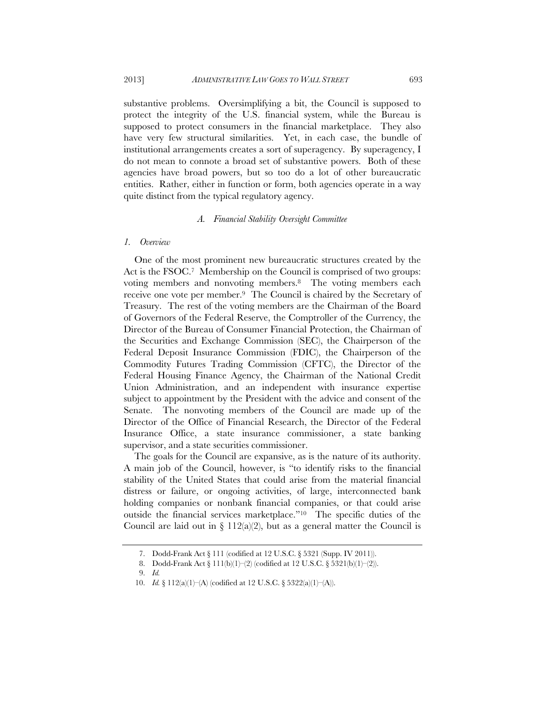substantive problems. Oversimplifying a bit, the Council is supposed to protect the integrity of the U.S. financial system, while the Bureau is supposed to protect consumers in the financial marketplace. They also have very few structural similarities. Yet, in each case, the bundle of institutional arrangements creates a sort of superagency. By superagency, I do not mean to connote a broad set of substantive powers. Both of these agencies have broad powers, but so too do a lot of other bureaucratic entities. Rather, either in function or form, both agencies operate in a way quite distinct from the typical regulatory agency.

### *A. Financial Stability Oversight Committee*

### *1. Overview*

One of the most prominent new bureaucratic structures created by the Act is the FSOC.7 Membership on the Council is comprised of two groups: voting members and nonvoting members.8 The voting members each receive one vote per member.9 The Council is chaired by the Secretary of Treasury. The rest of the voting members are the Chairman of the Board of Governors of the Federal Reserve, the Comptroller of the Currency, the Director of the Bureau of Consumer Financial Protection, the Chairman of the Securities and Exchange Commission (SEC), the Chairperson of the Federal Deposit Insurance Commission (FDIC), the Chairperson of the Commodity Futures Trading Commission (CFTC), the Director of the Federal Housing Finance Agency, the Chairman of the National Credit Union Administration, and an independent with insurance expertise subject to appointment by the President with the advice and consent of the Senate. The nonvoting members of the Council are made up of the Director of the Office of Financial Research, the Director of the Federal Insurance Office, a state insurance commissioner, a state banking supervisor, and a state securities commissioner.

The goals for the Council are expansive, as is the nature of its authority. A main job of the Council, however, is "to identify risks to the financial stability of the United States that could arise from the material financial distress or failure, or ongoing activities, of large, interconnected bank holding companies or nonbank financial companies, or that could arise outside the financial services marketplace."10 The specific duties of the Council are laid out in  $\S 112(a/2)$ , but as a general matter the Council is

 <sup>7.</sup> Dodd-Frank Act § 111 (codified at 12 U.S.C. § 5321 (Supp. IV 2011)).

 <sup>8.</sup> Dodd-Frank Act § 111(b)(1)–(2) (codified at 12 U.S.C. § 5321(b)(1)–(2)).

 <sup>9.</sup> *Id.*

 <sup>10.</sup> *Id.* § 112(a)(1)–(A) (codified at 12 U.S.C. § 5322(a)(1)–(A)).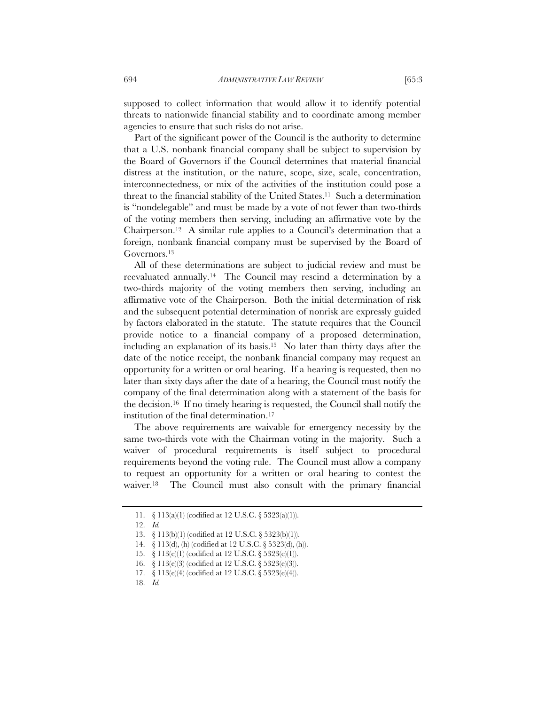supposed to collect information that would allow it to identify potential threats to nationwide financial stability and to coordinate among member agencies to ensure that such risks do not arise.

Part of the significant power of the Council is the authority to determine that a U.S. nonbank financial company shall be subject to supervision by the Board of Governors if the Council determines that material financial distress at the institution, or the nature, scope, size, scale, concentration, interconnectedness, or mix of the activities of the institution could pose a threat to the financial stability of the United States.11 Such a determination is "nondelegable" and must be made by a vote of not fewer than two-thirds of the voting members then serving, including an affirmative vote by the Chairperson.12 A similar rule applies to a Council's determination that a foreign, nonbank financial company must be supervised by the Board of Governors.13

All of these determinations are subject to judicial review and must be reevaluated annually.14 The Council may rescind a determination by a two-thirds majority of the voting members then serving, including an affirmative vote of the Chairperson. Both the initial determination of risk and the subsequent potential determination of nonrisk are expressly guided by factors elaborated in the statute. The statute requires that the Council provide notice to a financial company of a proposed determination, including an explanation of its basis.15 No later than thirty days after the date of the notice receipt, the nonbank financial company may request an opportunity for a written or oral hearing. If a hearing is requested, then no later than sixty days after the date of a hearing, the Council must notify the company of the final determination along with a statement of the basis for the decision.16 If no timely hearing is requested, the Council shall notify the institution of the final determination.17

The above requirements are waivable for emergency necessity by the same two-thirds vote with the Chairman voting in the majority. Such a waiver of procedural requirements is itself subject to procedural requirements beyond the voting rule. The Council must allow a company to request an opportunity for a written or oral hearing to contest the waiver.18 The Council must also consult with the primary financial

 <sup>11. § 113(</sup>a)(1) (codified at 12 U.S.C. § 5323(a)(1)).

 <sup>12.</sup> *Id.*

 <sup>13. § 113(</sup>b)(1) (codified at 12 U.S.C. § 5323(b)(1)).

 <sup>14. § 113(</sup>d), (h) (codified at 12 U.S.C. § 5323(d), (h)).

 <sup>15. § 113(</sup>e)(1) (codified at 12 U.S.C. § 5323(e)(1)).

 <sup>16. § 113(</sup>e)(3) (codified at 12 U.S.C. § 5323(e)(3)).

 <sup>17. § 113(</sup>e)(4) (codified at 12 U.S.C. § 5323(e)(4)).

 <sup>18.</sup> *Id.*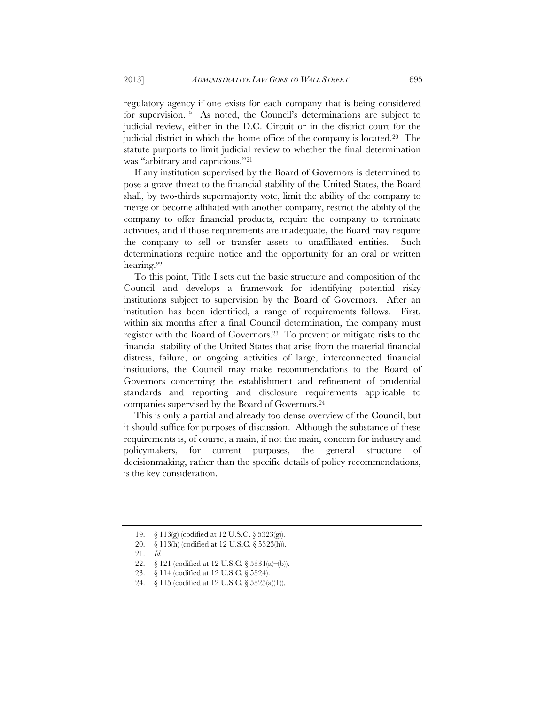regulatory agency if one exists for each company that is being considered for supervision.19 As noted, the Council's determinations are subject to judicial review, either in the D.C. Circuit or in the district court for the judicial district in which the home office of the company is located.20 The statute purports to limit judicial review to whether the final determination was "arbitrary and capricious."21

If any institution supervised by the Board of Governors is determined to pose a grave threat to the financial stability of the United States, the Board shall, by two-thirds supermajority vote, limit the ability of the company to merge or become affiliated with another company, restrict the ability of the company to offer financial products, require the company to terminate activities, and if those requirements are inadequate, the Board may require the company to sell or transfer assets to unaffiliated entities. Such determinations require notice and the opportunity for an oral or written hearing.22

To this point, Title I sets out the basic structure and composition of the Council and develops a framework for identifying potential risky institutions subject to supervision by the Board of Governors. After an institution has been identified, a range of requirements follows. First, within six months after a final Council determination, the company must register with the Board of Governors.23 To prevent or mitigate risks to the financial stability of the United States that arise from the material financial distress, failure, or ongoing activities of large, interconnected financial institutions, the Council may make recommendations to the Board of Governors concerning the establishment and refinement of prudential standards and reporting and disclosure requirements applicable to companies supervised by the Board of Governors.24

This is only a partial and already too dense overview of the Council, but it should suffice for purposes of discussion. Although the substance of these requirements is, of course, a main, if not the main, concern for industry and policymakers, for current purposes, the general structure of decisionmaking, rather than the specific details of policy recommendations, is the key consideration.

 <sup>19. § 113(</sup>g) (codified at 12 U.S.C. § 5323(g)).

 <sup>20. § 113(</sup>h) (codified at 12 U.S.C. § 5323(h)).

 <sup>21.</sup> *Id.*

 <sup>22. § 121 (</sup>codified at 12 U.S.C. § 5331(a)–(b)).

 <sup>23. § 114 (</sup>codified at 12 U.S.C. § 5324).

 <sup>24. § 115 (</sup>codified at 12 U.S.C. § 5325(a)(1)).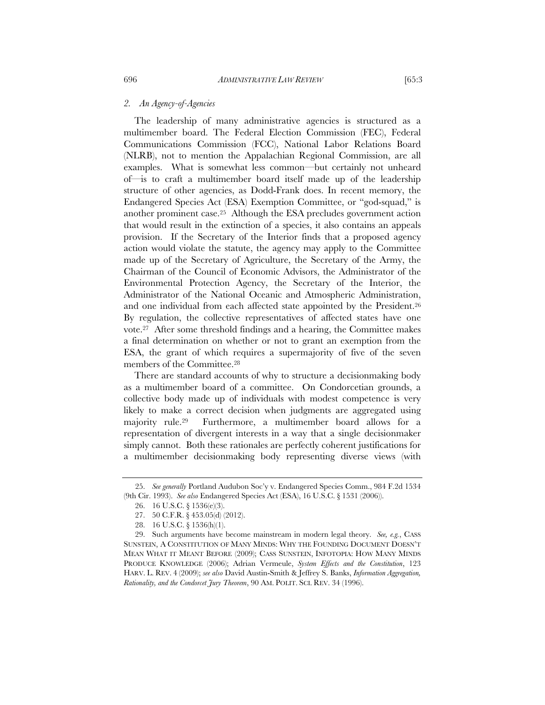# *2. An Agency-of-Agencies*

The leadership of many administrative agencies is structured as a multimember board. The Federal Election Commission (FEC), Federal Communications Commission (FCC), National Labor Relations Board (NLRB), not to mention the Appalachian Regional Commission, are all examples. What is somewhat less common—but certainly not unheard of—is to craft a multimember board itself made up of the leadership structure of other agencies, as Dodd-Frank does. In recent memory, the Endangered Species Act (ESA) Exemption Committee, or "god-squad," is another prominent case.25 Although the ESA precludes government action that would result in the extinction of a species, it also contains an appeals provision. If the Secretary of the Interior finds that a proposed agency action would violate the statute, the agency may apply to the Committee made up of the Secretary of Agriculture, the Secretary of the Army, the Chairman of the Council of Economic Advisors, the Administrator of the Environmental Protection Agency, the Secretary of the Interior, the Administrator of the National Oceanic and Atmospheric Administration, and one individual from each affected state appointed by the President.26 By regulation, the collective representatives of affected states have one vote.27 After some threshold findings and a hearing, the Committee makes a final determination on whether or not to grant an exemption from the ESA, the grant of which requires a supermajority of five of the seven members of the Committee.28

There are standard accounts of why to structure a decisionmaking body as a multimember board of a committee. On Condorcetian grounds, a collective body made up of individuals with modest competence is very likely to make a correct decision when judgments are aggregated using majority rule.29 Furthermore, a multimember board allows for a representation of divergent interests in a way that a single decisionmaker simply cannot. Both these rationales are perfectly coherent justifications for a multimember decisionmaking body representing diverse views (with

 <sup>25.</sup> *See generally* Portland Audubon Soc'y v. Endangered Species Comm., 984 F.2d 1534 (9th Cir. 1993). *See also* Endangered Species Act (ESA), 16 U.S.C. § 1531 (2006)).

 <sup>26. 16</sup> U.S.C. § 1536(e)(3).

 <sup>27. 50</sup> C.F.R. § 453.05(d) (2012).

 <sup>28. 16</sup> U.S.C. § 1536(h)(1).

 <sup>29.</sup> Such arguments have become mainstream in modern legal theory. *See, e.g.*, CASS SUNSTEIN, A CONSTITUTION OF MANY MINDS: WHY THE FOUNDING DOCUMENT DOESN'T MEAN WHAT IT MEANT BEFORE (2009); CASS SUNSTEIN, INFOTOPIA: HOW MANY MINDS PRODUCE KNOWLEDGE (2006); Adrian Vermeule, *System Effects and the Constitution*, 123 HARV. L. REV. 4 (2009); *see also* David Austin-Smith & Jeffrey S. Banks, *Information Aggregation, Rationality, and the Condorcet Jury Theorem*, 90 AM. POLIT. SCI. REV. 34 (1996).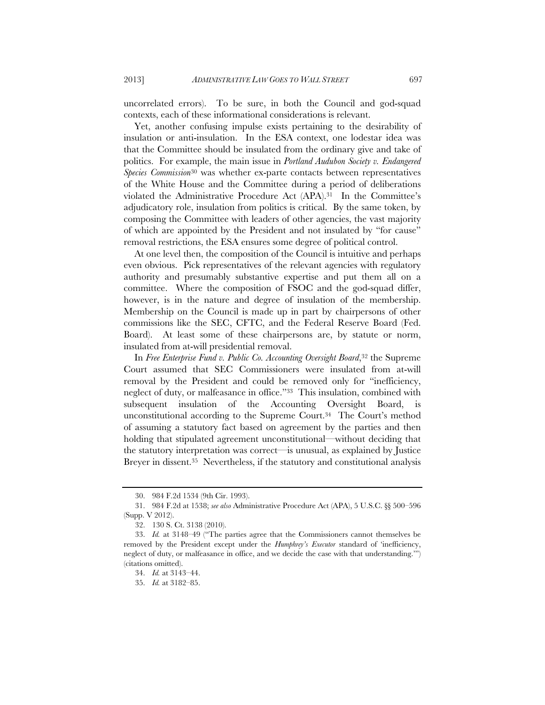uncorrelated errors). To be sure, in both the Council and god-squad contexts, each of these informational considerations is relevant.

Yet, another confusing impulse exists pertaining to the desirability of insulation or anti-insulation. In the ESA context, one lodestar idea was that the Committee should be insulated from the ordinary give and take of politics. For example, the main issue in *Portland Audubon Society v. Endangered Species Commission*30 was whether ex-parte contacts between representatives of the White House and the Committee during a period of deliberations violated the Administrative Procedure Act (APA).31 In the Committee's adjudicatory role, insulation from politics is critical. By the same token, by composing the Committee with leaders of other agencies, the vast majority of which are appointed by the President and not insulated by "for cause" removal restrictions, the ESA ensures some degree of political control.

At one level then, the composition of the Council is intuitive and perhaps even obvious. Pick representatives of the relevant agencies with regulatory authority and presumably substantive expertise and put them all on a committee. Where the composition of FSOC and the god-squad differ, however, is in the nature and degree of insulation of the membership. Membership on the Council is made up in part by chairpersons of other commissions like the SEC, CFTC, and the Federal Reserve Board (Fed. Board). At least some of these chairpersons are, by statute or norm, insulated from at-will presidential removal.

In *Free Enterprise Fund v. Public Co. Accounting Oversight Board*,<sup>32</sup> the Supreme Court assumed that SEC Commissioners were insulated from at-will removal by the President and could be removed only for "inefficiency, neglect of duty, or malfeasance in office."33 This insulation, combined with subsequent insulation of the Accounting Oversight Board, is unconstitutional according to the Supreme Court.34 The Court's method of assuming a statutory fact based on agreement by the parties and then holding that stipulated agreement unconstitutional—without deciding that the statutory interpretation was correct—is unusual, as explained by Justice Breyer in dissent.<sup>35</sup> Nevertheless, if the statutory and constitutional analysis

 <sup>30. 984</sup> F.2d 1534 (9th Cir. 1993).

 <sup>31. 984</sup> F.2d at 1538; *see also* Administrative Procedure Act (APA), 5 U.S.C. §§ 500–596 (Supp. V 2012).

 <sup>32. 130</sup> S. Ct. 3138 (2010).

 <sup>33.</sup> *Id.* at 3148–49 ("The parties agree that the Commissioners cannot themselves be removed by the President except under the *Humphrey's Executor* standard of 'inefficiency, neglect of duty, or malfeasance in office, and we decide the case with that understanding.'") (citations omitted).

 <sup>34.</sup> *Id.* at 3143–44.

 <sup>35.</sup> *Id.* at 3182–85.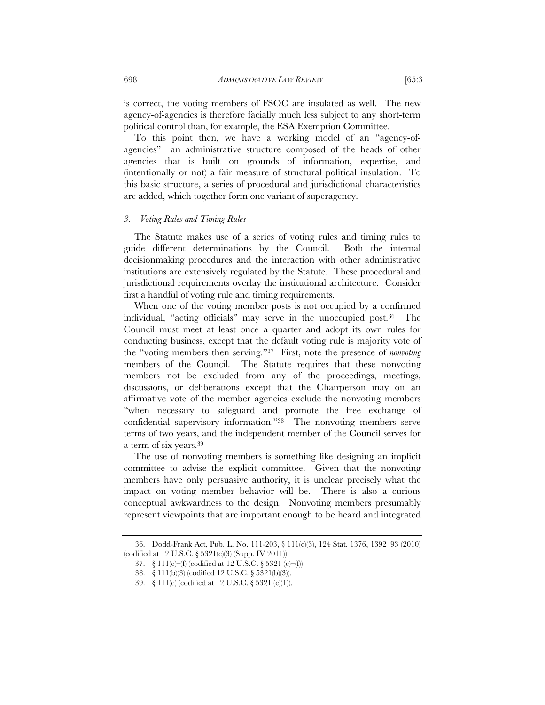is correct, the voting members of FSOC are insulated as well. The new agency-of-agencies is therefore facially much less subject to any short-term political control than, for example, the ESA Exemption Committee.

To this point then, we have a working model of an "agency-ofagencies"—an administrative structure composed of the heads of other agencies that is built on grounds of information, expertise, and (intentionally or not) a fair measure of structural political insulation. To this basic structure, a series of procedural and jurisdictional characteristics are added, which together form one variant of superagency.

#### *3. Voting Rules and Timing Rules*

The Statute makes use of a series of voting rules and timing rules to guide different determinations by the Council. Both the internal decisionmaking procedures and the interaction with other administrative institutions are extensively regulated by the Statute. These procedural and jurisdictional requirements overlay the institutional architecture. Consider first a handful of voting rule and timing requirements.

When one of the voting member posts is not occupied by a confirmed individual, "acting officials" may serve in the unoccupied post.36 The Council must meet at least once a quarter and adopt its own rules for conducting business, except that the default voting rule is majority vote of the "voting members then serving."37 First, note the presence of *nonvoting* members of the Council. The Statute requires that these nonvoting members not be excluded from any of the proceedings, meetings, discussions, or deliberations except that the Chairperson may on an affirmative vote of the member agencies exclude the nonvoting members "when necessary to safeguard and promote the free exchange of confidential supervisory information."38 The nonvoting members serve terms of two years, and the independent member of the Council serves for a term of six years.39

The use of nonvoting members is something like designing an implicit committee to advise the explicit committee. Given that the nonvoting members have only persuasive authority, it is unclear precisely what the impact on voting member behavior will be. There is also a curious conceptual awkwardness to the design. Nonvoting members presumably represent viewpoints that are important enough to be heard and integrated

 <sup>36.</sup> Dodd-Frank Act, Pub. L. No. 111-203, § 111(c)(3), 124 Stat. 1376, 1392–93 (2010) (codified at 12 U.S.C. § 5321(c)(3) (Supp. IV 2011)).

 <sup>37. § 111(</sup>e)–(f) (codified at 12 U.S.C. § 5321 (e)–(f)).

 <sup>38. § 111(</sup>b)(3) (codified 12 U.S.C. § 5321(b)(3)).

 <sup>39. § 111(</sup>c) (codified at 12 U.S.C. § 5321 (c)(1)).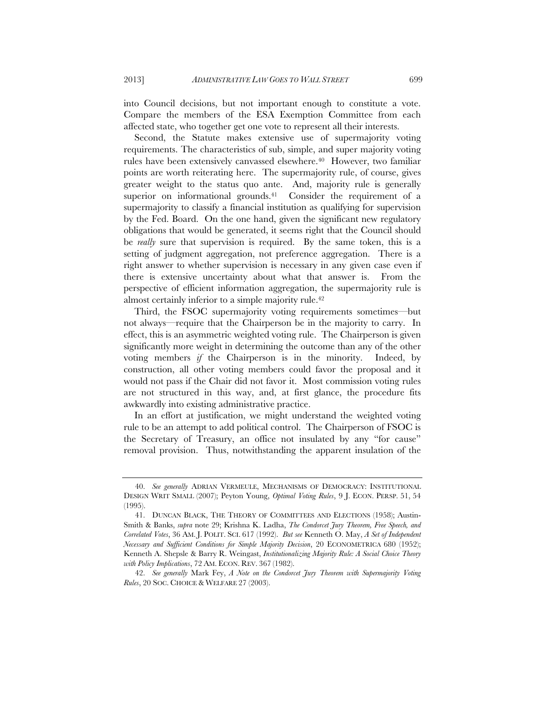into Council decisions, but not important enough to constitute a vote. Compare the members of the ESA Exemption Committee from each affected state, who together get one vote to represent all their interests.

Second, the Statute makes extensive use of supermajority voting requirements. The characteristics of sub, simple, and super majority voting rules have been extensively canvassed elsewhere.<sup>40</sup> However, two familiar points are worth reiterating here. The supermajority rule, of course, gives greater weight to the status quo ante. And, majority rule is generally superior on informational grounds.<sup>41</sup> Consider the requirement of a supermajority to classify a financial institution as qualifying for supervision by the Fed. Board. On the one hand, given the significant new regulatory obligations that would be generated, it seems right that the Council should be *really* sure that supervision is required. By the same token, this is a setting of judgment aggregation, not preference aggregation. There is a right answer to whether supervision is necessary in any given case even if there is extensive uncertainty about what that answer is. From the perspective of efficient information aggregation, the supermajority rule is almost certainly inferior to a simple majority rule.42

Third, the FSOC supermajority voting requirements sometimes—but not always—require that the Chairperson be in the majority to carry. In effect, this is an asymmetric weighted voting rule. The Chairperson is given significantly more weight in determining the outcome than any of the other voting members *if* the Chairperson is in the minority. Indeed, by construction, all other voting members could favor the proposal and it would not pass if the Chair did not favor it. Most commission voting rules are not structured in this way, and, at first glance, the procedure fits awkwardly into existing administrative practice.

In an effort at justification, we might understand the weighted voting rule to be an attempt to add political control. The Chairperson of FSOC is the Secretary of Treasury, an office not insulated by any "for cause" removal provision. Thus, notwithstanding the apparent insulation of the

 <sup>40.</sup> *See generally* ADRIAN VERMEULE, MECHANISMS OF DEMOCRACY: INSTITUTIONAL DESIGN WRIT SMALL (2007); Peyton Young, *Optimal Voting Rules*, 9 J. ECON. PERSP. 51, 54 (1995).

 <sup>41.</sup> DUNCAN BLACK, THE THEORY OF COMMITTEES AND ELECTIONS (1958); Austin-Smith & Banks, *supra* note 29; Krishna K. Ladha, *The Condorcet Jury Theorem, Free Speech, and Correlated Votes*, 36 AM. J. POLIT. SCI. 617 (1992). *But see* Kenneth O. May, *A Set of Independent Necessary and Sufficient Conditions for Simple Majority Decision*, 20 ECONOMETRICA 680 (1952); Kenneth A. Shepsle & Barry R. Weingast, *Institutionalizing Majority Rule: A Social Choice Theory with Policy Implications*, 72 AM. ECON. REV. 367 (1982).

 <sup>42.</sup> *See generally* Mark Fey, *A Note on the Condorcet Jury Theorem with Supermajority Voting Rules*, 20 SOC. CHOICE & WELFARE 27 (2003).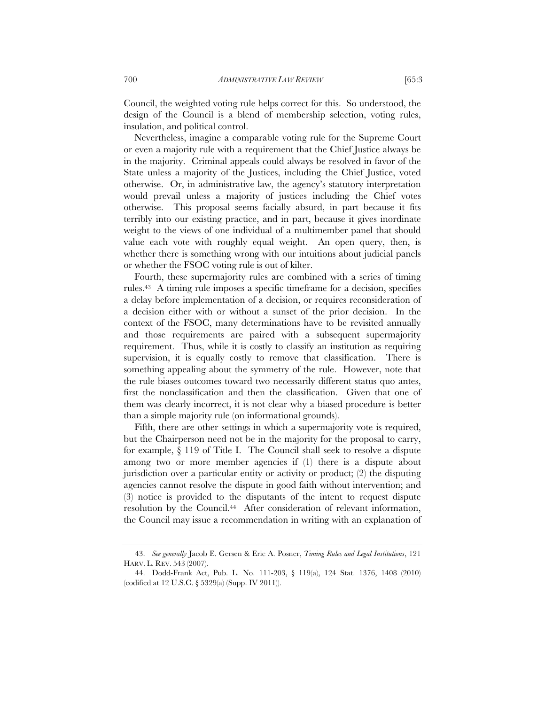Council, the weighted voting rule helps correct for this. So understood, the design of the Council is a blend of membership selection, voting rules, insulation, and political control.

Nevertheless, imagine a comparable voting rule for the Supreme Court or even a majority rule with a requirement that the Chief Justice always be in the majority. Criminal appeals could always be resolved in favor of the State unless a majority of the Justices, including the Chief Justice, voted otherwise. Or, in administrative law, the agency's statutory interpretation would prevail unless a majority of justices including the Chief votes otherwise. This proposal seems facially absurd, in part because it fits terribly into our existing practice, and in part, because it gives inordinate weight to the views of one individual of a multimember panel that should value each vote with roughly equal weight. An open query, then, is whether there is something wrong with our intuitions about judicial panels or whether the FSOC voting rule is out of kilter.

Fourth, these supermajority rules are combined with a series of timing rules.43 A timing rule imposes a specific timeframe for a decision, specifies a delay before implementation of a decision, or requires reconsideration of a decision either with or without a sunset of the prior decision. In the context of the FSOC, many determinations have to be revisited annually and those requirements are paired with a subsequent supermajority requirement. Thus, while it is costly to classify an institution as requiring supervision, it is equally costly to remove that classification. There is something appealing about the symmetry of the rule. However, note that the rule biases outcomes toward two necessarily different status quo antes, first the nonclassification and then the classification. Given that one of them was clearly incorrect, it is not clear why a biased procedure is better than a simple majority rule (on informational grounds).

Fifth, there are other settings in which a supermajority vote is required, but the Chairperson need not be in the majority for the proposal to carry, for example, § 119 of Title I. The Council shall seek to resolve a dispute among two or more member agencies if (1) there is a dispute about jurisdiction over a particular entity or activity or product; (2) the disputing agencies cannot resolve the dispute in good faith without intervention; and (3) notice is provided to the disputants of the intent to request dispute resolution by the Council.<sup>44</sup> After consideration of relevant information, the Council may issue a recommendation in writing with an explanation of

 <sup>43.</sup> *See generally* Jacob E. Gersen & Eric A. Posner, *Timing Rules and Legal Institutions*, 121 HARV. L. REV. 543 (2007).

 <sup>44.</sup> Dodd-Frank Act, Pub. L. No. 111-203, § 119(a), 124 Stat. 1376, 1408 (2010) (codified at 12 U.S.C. § 5329(a) (Supp. IV 2011)).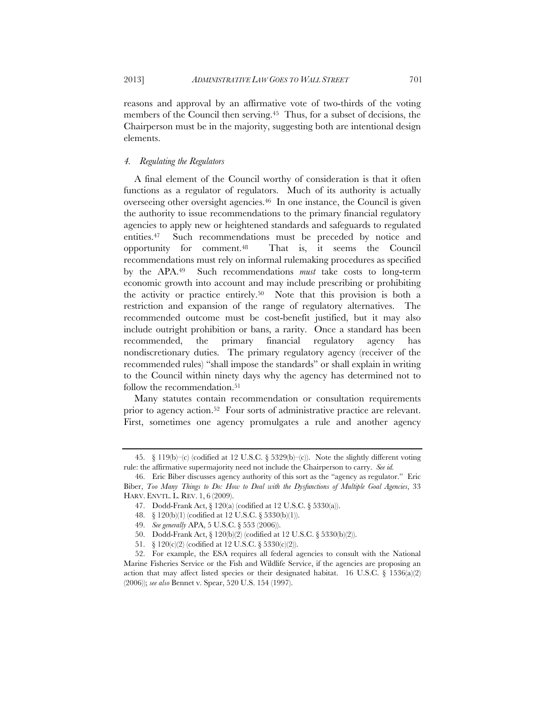reasons and approval by an affirmative vote of two-thirds of the voting members of the Council then serving.45 Thus, for a subset of decisions, the Chairperson must be in the majority, suggesting both are intentional design elements.

# *4. Regulating the Regulators*

A final element of the Council worthy of consideration is that it often functions as a regulator of regulators. Much of its authority is actually overseeing other oversight agencies.46 In one instance, the Council is given the authority to issue recommendations to the primary financial regulatory agencies to apply new or heightened standards and safeguards to regulated entities.47 Such recommendations must be preceded by notice and opportunity for comment.48 That is, it seems the Council recommendations must rely on informal rulemaking procedures as specified by the APA.49 Such recommendations *must* take costs to long-term economic growth into account and may include prescribing or prohibiting the activity or practice entirely.50 Note that this provision is both a restriction and expansion of the range of regulatory alternatives. The recommended outcome must be cost-benefit justified, but it may also include outright prohibition or bans, a rarity. Once a standard has been recommended, the primary financial regulatory agency has nondiscretionary duties. The primary regulatory agency (receiver of the recommended rules) "shall impose the standards" or shall explain in writing to the Council within ninety days why the agency has determined not to follow the recommendation.<sup>51</sup>

Many statutes contain recommendation or consultation requirements prior to agency action.52 Four sorts of administrative practice are relevant. First, sometimes one agency promulgates a rule and another agency

<sup>45. § 119(</sup>b)–(c) (codified at 12 U.S.C. § 5329(b)–(c)). Note the slightly different voting rule: the affirmative supermajority need not include the Chairperson to carry. *See id.*

 <sup>46.</sup> Eric Biber discusses agency authority of this sort as the "agency as regulator." Eric Biber, *Too Many Things to Do: How to Deal with the Dysfunctions of Multiple Goal Agencies*, 33 HARV. ENVTL. L. REV. 1, 6 (2009).

 <sup>47.</sup> Dodd-Frank Act, § 120(a) (codified at 12 U.S.C. § 5330(a)).

 <sup>48. § 120(</sup>b)(1) (codified at 12 U.S.C. § 5330(b)(1)).

 <sup>49.</sup> *See generally* APA, 5 U.S.C. § 553 (2006)).

 <sup>50.</sup> Dodd-Frank Act, § 120(b)(2) (codified at 12 U.S.C. § 5330(b)(2)).

 <sup>51. § 120(</sup>c)(2) (codified at 12 U.S.C. § 5330(c)(2)).

 <sup>52.</sup> For example, the ESA requires all federal agencies to consult with the National Marine Fisheries Service or the Fish and Wildlife Service, if the agencies are proposing an action that may affect listed species or their designated habitat. 16 U.S.C.  $\S$  1536(a)(2) (2006)); *see also* Bennet v. Spear, 520 U.S. 154 (1997).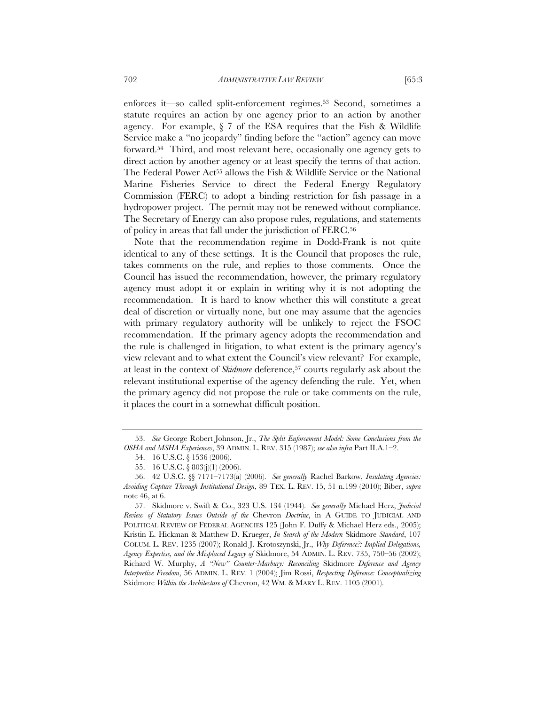enforces it—so called split-enforcement regimes.53 Second, sometimes a statute requires an action by one agency prior to an action by another agency. For example,  $\S$  7 of the ESA requires that the Fish & Wildlife Service make a "no jeopardy" finding before the "action" agency can move forward.54 Third, and most relevant here, occasionally one agency gets to direct action by another agency or at least specify the terms of that action. The Federal Power Act<sup>55</sup> allows the Fish & Wildlife Service or the National Marine Fisheries Service to direct the Federal Energy Regulatory Commission (FERC) to adopt a binding restriction for fish passage in a hydropower project. The permit may not be renewed without compliance. The Secretary of Energy can also propose rules, regulations, and statements of policy in areas that fall under the jurisdiction of FERC.56

Note that the recommendation regime in Dodd-Frank is not quite identical to any of these settings. It is the Council that proposes the rule, takes comments on the rule, and replies to those comments. Once the Council has issued the recommendation, however, the primary regulatory agency must adopt it or explain in writing why it is not adopting the recommendation. It is hard to know whether this will constitute a great deal of discretion or virtually none, but one may assume that the agencies with primary regulatory authority will be unlikely to reject the FSOC recommendation. If the primary agency adopts the recommendation and the rule is challenged in litigation, to what extent is the primary agency's view relevant and to what extent the Council's view relevant? For example, at least in the context of *Skidmore* deference,57 courts regularly ask about the relevant institutional expertise of the agency defending the rule. Yet, when the primary agency did not propose the rule or take comments on the rule, it places the court in a somewhat difficult position.

 <sup>53.</sup> *See* George Robert Johnson, Jr., *The Split Enforcement Model: Some Conclusions from the OSHA and MSHA Experiences*, 39 ADMIN. L. REV. 315 (1987); *see also infra* Part II.A.1–2.

 <sup>54. 16</sup> U.S.C. § 1536 (2006).

 <sup>55. 16</sup> U.S.C. § 803(j)(1) (2006).

 <sup>56. 42</sup> U.S.C. §§ 7171–7173(a) (2006). *See generally* Rachel Barkow, *Insulating Agencies: Avoiding Capture Through Institutional Design*, 89 TEX. L. REV. 15, 51 n.199 (2010); Biber, *supra* note 46, at 6.

 <sup>57.</sup> Skidmore v. Swift & Co., 323 U.S. 134 (1944). *See generally* Michael Herz, *Judicial Review of Statutory Issues Outside of the* Chevron *Doctrine*, in A GUIDE TO JUDICIAL AND POLITICAL REVIEW OF FEDERAL AGENCIES 125 (John F. Duffy & Michael Herz eds., 2005); Kristin E. Hickman & Matthew D. Krueger, *In Search of the Modern* Skidmore *Standard*, 107 COLUM. L. REV. 1235 (2007); Ronald J. Krotoszynski, Jr., *Why Deference?: Implied Delegations, Agency Expertise, and the Misplaced Legacy of* Skidmore, 54 ADMIN. L. REV. 735, 750–56 (2002); Richard W. Murphy, *A "New" Counter-Marbury: Reconciling* Skidmore *Deference and Agency Interpretive Freedom*, 56 ADMIN. L. REV. 1 (2004); Jim Rossi, *Respecting Deference: Conceptualizing*  Skidmore *Within the Architecture of* Chevron, 42 WM. & MARY L. REV. 1105 (2001).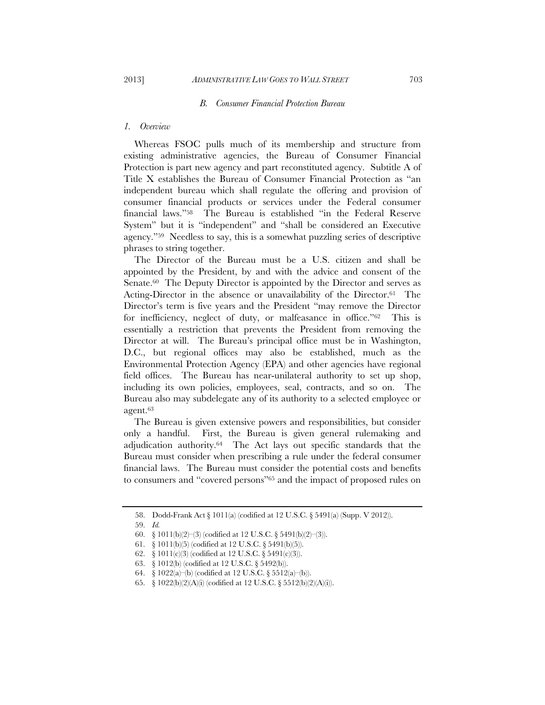# *B. Consumer Financial Protection Bureau*

# *1. Overview*

Whereas FSOC pulls much of its membership and structure from existing administrative agencies, the Bureau of Consumer Financial Protection is part new agency and part reconstituted agency. Subtitle A of Title X establishes the Bureau of Consumer Financial Protection as "an independent bureau which shall regulate the offering and provision of consumer financial products or services under the Federal consumer financial laws."58 The Bureau is established "in the Federal Reserve System" but it is "independent" and "shall be considered an Executive agency."59 Needless to say, this is a somewhat puzzling series of descriptive phrases to string together.

The Director of the Bureau must be a U.S. citizen and shall be appointed by the President, by and with the advice and consent of the Senate.<sup>60</sup> The Deputy Director is appointed by the Director and serves as Acting-Director in the absence or unavailability of the Director.<sup>61</sup> The Director's term is five years and the President "may remove the Director for inefficiency, neglect of duty, or malfeasance in office."62 This is essentially a restriction that prevents the President from removing the Director at will. The Bureau's principal office must be in Washington, D.C., but regional offices may also be established, much as the Environmental Protection Agency (EPA) and other agencies have regional field offices. The Bureau has near-unilateral authority to set up shop, including its own policies, employees, seal, contracts, and so on. The Bureau also may subdelegate any of its authority to a selected employee or agent.63

The Bureau is given extensive powers and responsibilities, but consider only a handful. First, the Bureau is given general rulemaking and adjudication authority.64 The Act lays out specific standards that the Bureau must consider when prescribing a rule under the federal consumer financial laws. The Bureau must consider the potential costs and benefits to consumers and "covered persons"65 and the impact of proposed rules on

- 61. § 1011(b)(5) (codified at 12 U.S.C. § 5491(b)(5)).
- 62. § 1011(c)(3) (codified at 12 U.S.C. § 5491(c)(3)).
- 63. § 1012(b) (codified at 12 U.S.C. § 5492(b)).
- 64. § 1022(a)–(b) (codified at 12 U.S.C. § 5512(a)–(b)).

 <sup>58.</sup> Dodd-Frank Act § 1011(a) (codified at 12 U.S.C. § 5491(a) (Supp. V 2012)).

 <sup>59.</sup> *Id.*

<sup>60. § 1011(</sup>b)(2)–(3) (codified at 12 U.S.C. § 5491(b)(2)–(3)).

 <sup>65. § 1022(</sup>b)(2)(A)(i) (codified at 12 U.S.C. § 5512(b)(2)(A)(i)).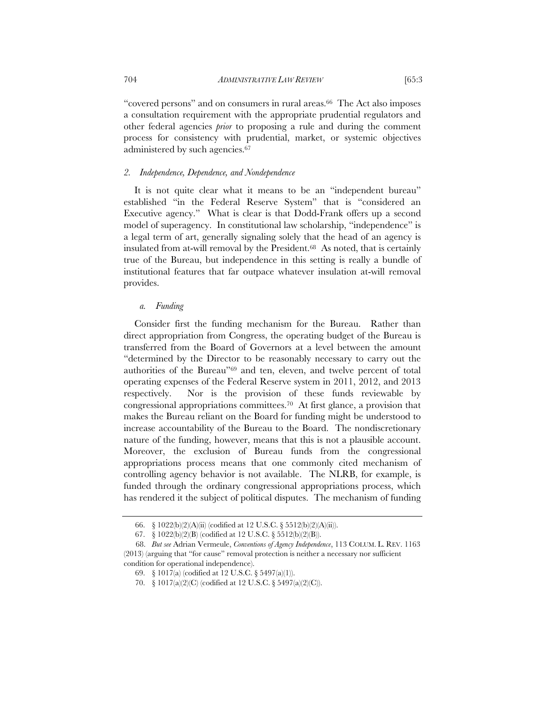704 *ADMINISTRATIVE LAW REVIEW* [65:3

"covered persons" and on consumers in rural areas.<sup>66</sup> The Act also imposes a consultation requirement with the appropriate prudential regulators and other federal agencies *prior* to proposing a rule and during the comment process for consistency with prudential, market, or systemic objectives administered by such agencies.67

# *2. Independence, Dependence, and Nondependence*

It is not quite clear what it means to be an "independent bureau" established "in the Federal Reserve System" that is "considered an Executive agency." What is clear is that Dodd-Frank offers up a second model of superagency. In constitutional law scholarship, "independence" is a legal term of art, generally signaling solely that the head of an agency is insulated from at-will removal by the President.68 As noted, that is certainly true of the Bureau, but independence in this setting is really a bundle of institutional features that far outpace whatever insulation at-will removal provides.

# *a. Funding*

Consider first the funding mechanism for the Bureau. Rather than direct appropriation from Congress, the operating budget of the Bureau is transferred from the Board of Governors at a level between the amount "determined by the Director to be reasonably necessary to carry out the authorities of the Bureau"69 and ten, eleven, and twelve percent of total operating expenses of the Federal Reserve system in 2011, 2012, and 2013 respectively. Nor is the provision of these funds reviewable by congressional appropriations committees.70 At first glance, a provision that makes the Bureau reliant on the Board for funding might be understood to increase accountability of the Bureau to the Board. The nondiscretionary nature of the funding, however, means that this is not a plausible account. Moreover, the exclusion of Bureau funds from the congressional appropriations process means that one commonly cited mechanism of controlling agency behavior is not available. The NLRB, for example, is funded through the ordinary congressional appropriations process, which has rendered it the subject of political disputes. The mechanism of funding

 <sup>66. § 1022(</sup>b)(2)(A)(ii) (codified at 12 U.S.C. § 5512(b)(2)(A)(ii)).

 <sup>67. § 1022(</sup>b)(2)(B) (codified at 12 U.S.C. § 5512(b)(2)(B)).

<sup>68.</sup> *But see* Adrian Vermeule, *Conventions of Agency Independence*, 113 COLUM. L. REV. 1163 (2013) (arguing that "for cause" removal protection is neither a necessary nor sufficient

condition for operational independence).

 <sup>69. § 1017(</sup>a) (codified at 12 U.S.C. § 5497(a)(1)).

 <sup>70. § 1017(</sup>a)(2)(C) (codified at 12 U.S.C. § 5497(a)(2)(C)).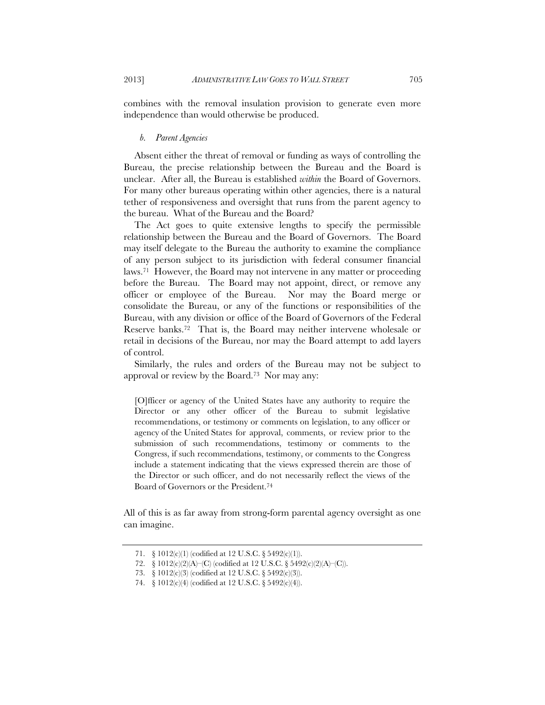combines with the removal insulation provision to generate even more independence than would otherwise be produced.

# *b. Parent Agencies*

Absent either the threat of removal or funding as ways of controlling the Bureau, the precise relationship between the Bureau and the Board is unclear. After all, the Bureau is established *within* the Board of Governors. For many other bureaus operating within other agencies, there is a natural tether of responsiveness and oversight that runs from the parent agency to the bureau. What of the Bureau and the Board?

The Act goes to quite extensive lengths to specify the permissible relationship between the Bureau and the Board of Governors. The Board may itself delegate to the Bureau the authority to examine the compliance of any person subject to its jurisdiction with federal consumer financial laws.71 However, the Board may not intervene in any matter or proceeding before the Bureau. The Board may not appoint, direct, or remove any officer or employee of the Bureau. Nor may the Board merge or consolidate the Bureau, or any of the functions or responsibilities of the Bureau, with any division or office of the Board of Governors of the Federal Reserve banks.72 That is, the Board may neither intervene wholesale or retail in decisions of the Bureau, nor may the Board attempt to add layers of control.

Similarly, the rules and orders of the Bureau may not be subject to approval or review by the Board.73 Nor may any:

[O]fficer or agency of the United States have any authority to require the Director or any other officer of the Bureau to submit legislative recommendations, or testimony or comments on legislation, to any officer or agency of the United States for approval, comments, or review prior to the submission of such recommendations, testimony or comments to the Congress, if such recommendations, testimony, or comments to the Congress include a statement indicating that the views expressed therein are those of the Director or such officer, and do not necessarily reflect the views of the Board of Governors or the President.74

All of this is as far away from strong-form parental agency oversight as one can imagine.

 <sup>71. § 1012(</sup>c)(1) (codified at 12 U.S.C. § 5492(c)(1)).

 <sup>72. § 1012(</sup>c)(2)(A)–(C) (codified at 12 U.S.C. § 5492(c)(2)(A)–(C)).

 <sup>73. § 1012(</sup>c)(3) (codified at 12 U.S.C. § 5492(c)(3)).

 <sup>74. § 1012(</sup>c)(4) (codified at 12 U.S.C. § 5492(c)(4)).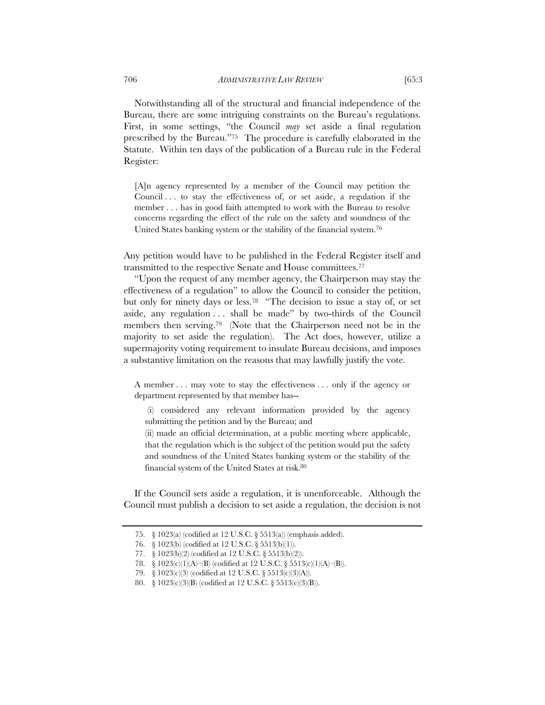Notwithstanding all of the structural and financial independence of the Bureau, there are some intriguing constraints on the Bureau's regulations. First, in some settings, "the Council *may* set aside a final regulation prescribed by the Bureau."75 The procedure is carefully elaborated in the Statute. Within ten days of the publication of a Bureau rule in the Federal Register:

[A]n agency represented by a member of the Council may petition the Council . . . to stay the effectiveness of, or set aside, a regulation if the member . . . has in good faith attempted to work with the Bureau to resolve concerns regarding the effect of the rule on the safety and soundness of the United States banking system or the stability of the financial system.76

Any petition would have to be published in the Federal Register itself and transmitted to the respective Senate and House committees.77

"Upon the request of any member agency, the Chairperson may stay the effectiveness of a regulation" to allow the Council to consider the petition, but only for ninety days or less.78 "The decision to issue a stay of, or set aside, any regulation . . . shall be made" by two-thirds of the Council members then serving.79 (Note that the Chairperson need not be in the majority to set aside the regulation). The Act does, however, utilize a supermajority voting requirement to insulate Bureau decisions, and imposes a substantive limitation on the reasons that may lawfully justify the vote.

A member . . . may vote to stay the effectiveness . . . only if the agency or department represented by that member has--

 (i) considered any relevant information provided by the agency submitting the petition and by the Bureau; and

(ii) made an official determination, at a public meeting where applicable, that the regulation which is the subject of the petition would put the safety and soundness of the United States banking system or the stability of the financial system of the United States at risk.80

If the Council sets aside a regulation, it is unenforceable. Although the Council must publish a decision to set aside a regulation, the decision is not

 <sup>75. § 1023(</sup>a) (codified at 12 U.S.C. § 5513(a)) (emphasis added).

 <sup>76. § 1023(</sup>b) (codified at 12 U.S.C. § 5513(b)(1)).

 <sup>77. § 1023(</sup>b)(2) (codified at 12 U.S.C. § 5513(b)(2)).

 <sup>78. § 1023(</sup>c)(1)(A)–(B) (codified at 12 U.S.C. § 5513(c)(1)(A)–(B)).

 <sup>79. § 1023(</sup>c)(3) (codified at 12 U.S.C. § 5513(c)(3)(A)).

 <sup>80. § 1023(</sup>c)(3)(B) (codified at 12 U.S.C. § 5513(c)(3)(B)).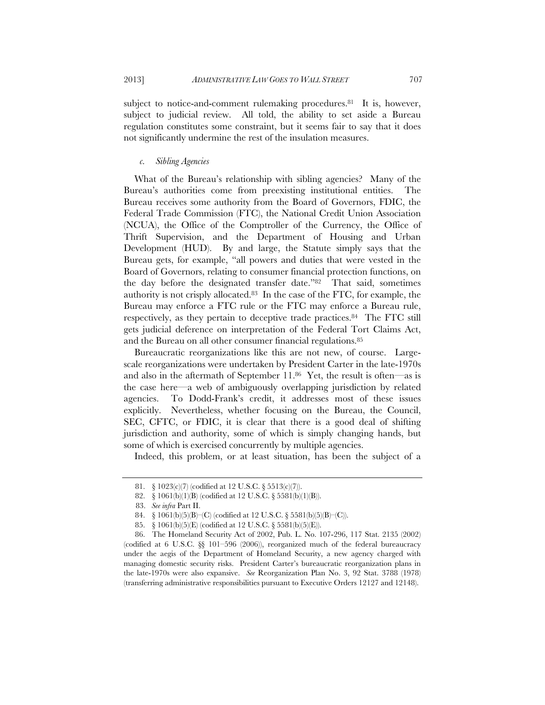subject to notice-and-comment rulemaking procedures.<sup>81</sup> It is, however, subject to judicial review. All told, the ability to set aside a Bureau regulation constitutes some constraint, but it seems fair to say that it does not significantly undermine the rest of the insulation measures.

# *c. Sibling Agencies*

What of the Bureau's relationship with sibling agencies? Many of the Bureau's authorities come from preexisting institutional entities. The Bureau receives some authority from the Board of Governors, FDIC, the Federal Trade Commission (FTC), the National Credit Union Association (NCUA), the Office of the Comptroller of the Currency, the Office of Thrift Supervision, and the Department of Housing and Urban Development (HUD). By and large, the Statute simply says that the Bureau gets, for example, "all powers and duties that were vested in the Board of Governors, relating to consumer financial protection functions, on the day before the designated transfer date."82 That said, sometimes authority is not crisply allocated.83 In the case of the FTC, for example, the Bureau may enforce a FTC rule or the FTC may enforce a Bureau rule, respectively, as they pertain to deceptive trade practices.84 The FTC still gets judicial deference on interpretation of the Federal Tort Claims Act, and the Bureau on all other consumer financial regulations.85

Bureaucratic reorganizations like this are not new, of course. Largescale reorganizations were undertaken by President Carter in the late-1970s and also in the aftermath of September 11.86 Yet, the result is often—as is the case here—a web of ambiguously overlapping jurisdiction by related agencies. To Dodd-Frank's credit, it addresses most of these issues explicitly. Nevertheless, whether focusing on the Bureau, the Council, SEC, CFTC, or FDIC, it is clear that there is a good deal of shifting jurisdiction and authority, some of which is simply changing hands, but some of which is exercised concurrently by multiple agencies.

Indeed, this problem, or at least situation, has been the subject of a

 <sup>81. § 1023(</sup>c)(7) (codified at 12 U.S.C. § 5513(c)(7)).

 <sup>82. § 1061(</sup>b)(1)(B) (codified at 12 U.S.C. § 5581(b)(1)(B)).

<sup>83.</sup> *See infra* Part II.

 <sup>84. § 1061(</sup>b)(5)(B)–(C) (codified at 12 U.S.C. § 5581(b)(5)(B)–(C)).

 <sup>85. § 1061(</sup>b)(5)(E) (codified at 12 U.S.C. § 5581(b)(5)(E)).

 <sup>86.</sup> The Homeland Security Act of 2002, Pub. L. No. 107-296, 117 Stat. 2135 (2002) (codified at 6 U.S.C. §§ 101–596 (2006)), reorganized much of the federal bureaucracy under the aegis of the Department of Homeland Security, a new agency charged with managing domestic security risks. President Carter's bureaucratic reorganization plans in the late-1970s were also expansive. *See* Reorganization Plan No. 3, 92 Stat. 3788 (1978) (transferring administrative responsibilities pursuant to Executive Orders 12127 and 12148).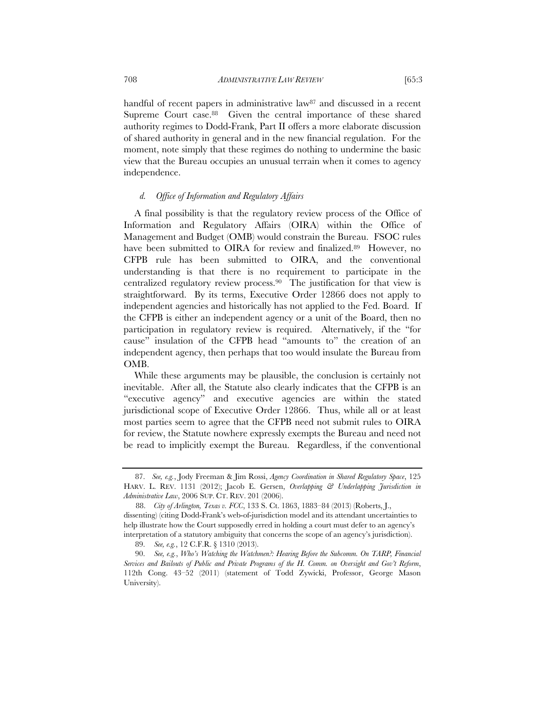handful of recent papers in administrative law<sup>87</sup> and discussed in a recent Supreme Court case.<sup>88</sup> Given the central importance of these shared authority regimes to Dodd-Frank, Part II offers a more elaborate discussion of shared authority in general and in the new financial regulation. For the moment, note simply that these regimes do nothing to undermine the basic view that the Bureau occupies an unusual terrain when it comes to agency independence.

# *d. Office of Information and Regulatory Affairs*

A final possibility is that the regulatory review process of the Office of Information and Regulatory Affairs (OIRA) within the Office of Management and Budget (OMB) would constrain the Bureau. FSOC rules have been submitted to OIRA for review and finalized.<sup>89</sup> However, no CFPB rule has been submitted to OIRA, and the conventional understanding is that there is no requirement to participate in the centralized regulatory review process.90 The justification for that view is straightforward. By its terms, Executive Order 12866 does not apply to independent agencies and historically has not applied to the Fed. Board. If the CFPB is either an independent agency or a unit of the Board, then no participation in regulatory review is required. Alternatively, if the "for cause" insulation of the CFPB head "amounts to" the creation of an independent agency, then perhaps that too would insulate the Bureau from OMB.

While these arguments may be plausible, the conclusion is certainly not inevitable. After all, the Statute also clearly indicates that the CFPB is an "executive agency" and executive agencies are within the stated jurisdictional scope of Executive Order 12866. Thus, while all or at least most parties seem to agree that the CFPB need not submit rules to OIRA for review, the Statute nowhere expressly exempts the Bureau and need not be read to implicitly exempt the Bureau. Regardless, if the conventional

 <sup>87.</sup> *See, e.g.*, Jody Freeman & Jim Rossi, *Agency Coordination in Shared Regulatory Space*, 125 HARV. L. REV. 1131 (2012); Jacob E. Gersen, *Overlapping & Underlapping Jurisdiction in Administrative Law*, 2006 SUP. CT. REV. 201 (2006).

<sup>88.</sup> *City of Arlington, Texas v. FCC*, 133 S. Ct. 1863, 1883–84 (2013) (Roberts, J., dissenting) (citing Dodd-Frank's web-of-jurisdiction model and its attendant uncertainties to help illustrate how the Court supposedly erred in holding a court must defer to an agency's interpretation of a statutory ambiguity that concerns the scope of an agency's jurisdiction).

 <sup>89.</sup> *See, e.g.*, 12 C.F.R. § 1310 (2013).

 <sup>90.</sup> *See, e.g.*, *Who's Watching the Watchmen?: Hearing Before the Subcomm. On TARP, Financial Services and Bailouts of Public and Private Programs of the H. Comm. on Oversight and Gov't Reform*, 112th Cong. 43–52 (2011) (statement of Todd Zywicki, Professor, George Mason University).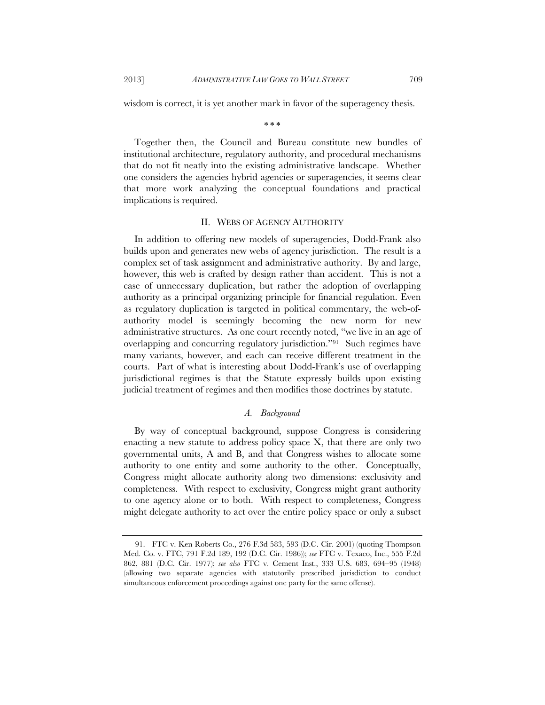wisdom is correct, it is yet another mark in favor of the superagency thesis.

\* \* \*

Together then, the Council and Bureau constitute new bundles of institutional architecture, regulatory authority, and procedural mechanisms that do not fit neatly into the existing administrative landscape. Whether one considers the agencies hybrid agencies or superagencies, it seems clear that more work analyzing the conceptual foundations and practical implications is required.

# II. WEBS OF AGENCY AUTHORITY

In addition to offering new models of superagencies, Dodd-Frank also builds upon and generates new webs of agency jurisdiction. The result is a complex set of task assignment and administrative authority. By and large, however, this web is crafted by design rather than accident. This is not a case of unnecessary duplication, but rather the adoption of overlapping authority as a principal organizing principle for financial regulation. Even as regulatory duplication is targeted in political commentary, the web-ofauthority model is seemingly becoming the new norm for new administrative structures. As one court recently noted, "we live in an age of overlapping and concurring regulatory jurisdiction."91 Such regimes have many variants, however, and each can receive different treatment in the courts. Part of what is interesting about Dodd-Frank's use of overlapping jurisdictional regimes is that the Statute expressly builds upon existing judicial treatment of regimes and then modifies those doctrines by statute.

# *A. Background*

By way of conceptual background, suppose Congress is considering enacting a new statute to address policy space  $X$ , that there are only two governmental units, A and B, and that Congress wishes to allocate some authority to one entity and some authority to the other. Conceptually, Congress might allocate authority along two dimensions: exclusivity and completeness. With respect to exclusivity, Congress might grant authority to one agency alone or to both. With respect to completeness, Congress might delegate authority to act over the entire policy space or only a subset

 <sup>91.</sup> FTC v. Ken Roberts Co., 276 F.3d 583, 593 (D.C. Cir. 2001) (quoting Thompson Med. Co. v. FTC, 791 F.2d 189, 192 (D.C. Cir. 1986)); *see* FTC v. Texaco, Inc., 555 F.2d 862, 881 (D.C. Cir. 1977); *see also* FTC v. Cement Inst., 333 U.S. 683, 694–95 (1948) (allowing two separate agencies with statutorily prescribed jurisdiction to conduct simultaneous enforcement proceedings against one party for the same offense).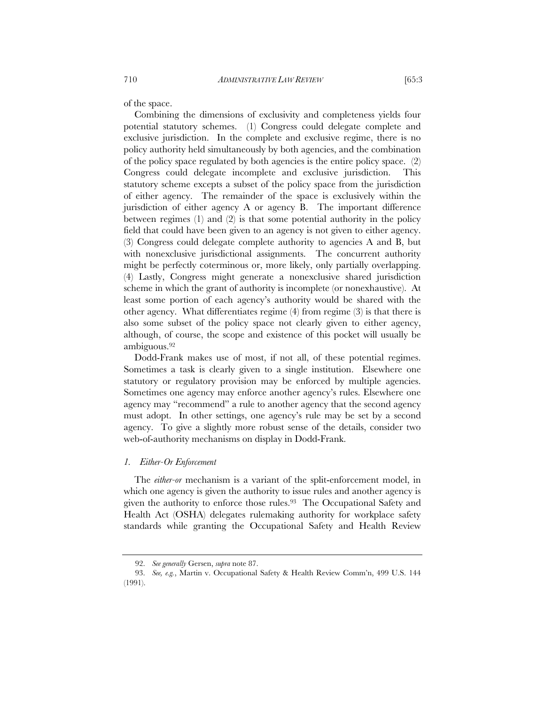of the space.

Combining the dimensions of exclusivity and completeness yields four potential statutory schemes. (1) Congress could delegate complete and exclusive jurisdiction. In the complete and exclusive regime, there is no policy authority held simultaneously by both agencies, and the combination of the policy space regulated by both agencies is the entire policy space. (2) Congress could delegate incomplete and exclusive jurisdiction. This statutory scheme excepts a subset of the policy space from the jurisdiction of either agency. The remainder of the space is exclusively within the jurisdiction of either agency A or agency B. The important difference between regimes (1) and (2) is that some potential authority in the policy field that could have been given to an agency is not given to either agency. (3) Congress could delegate complete authority to agencies A and B, but with nonexclusive jurisdictional assignments. The concurrent authority might be perfectly coterminous or, more likely, only partially overlapping. (4) Lastly, Congress might generate a nonexclusive shared jurisdiction scheme in which the grant of authority is incomplete (or nonexhaustive). At least some portion of each agency's authority would be shared with the other agency. What differentiates regime (4) from regime (3) is that there is also some subset of the policy space not clearly given to either agency, although, of course, the scope and existence of this pocket will usually be ambiguous.92

Dodd-Frank makes use of most, if not all, of these potential regimes. Sometimes a task is clearly given to a single institution. Elsewhere one statutory or regulatory provision may be enforced by multiple agencies. Sometimes one agency may enforce another agency's rules. Elsewhere one agency may "recommend" a rule to another agency that the second agency must adopt. In other settings, one agency's rule may be set by a second agency. To give a slightly more robust sense of the details, consider two web-of-authority mechanisms on display in Dodd-Frank.

# *1. Either-Or Enforcement*

The *either-or* mechanism is a variant of the split-enforcement model, in which one agency is given the authority to issue rules and another agency is given the authority to enforce those rules.<sup>93</sup> The Occupational Safety and Health Act (OSHA) delegates rulemaking authority for workplace safety standards while granting the Occupational Safety and Health Review

 <sup>92.</sup> *See generally* Gersen, *supra* note 87.

 <sup>93.</sup> *See, e.g.*, Martin v. Occupational Safety & Health Review Comm'n, 499 U.S. 144 (1991).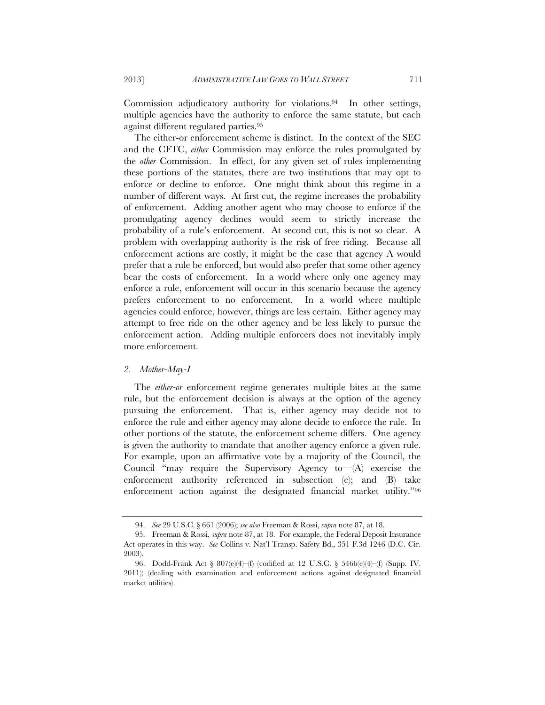Commission adjudicatory authority for violations.94 In other settings, multiple agencies have the authority to enforce the same statute, but each against different regulated parties.95

The either-or enforcement scheme is distinct. In the context of the SEC and the CFTC, *either* Commission may enforce the rules promulgated by the *other* Commission. In effect, for any given set of rules implementing these portions of the statutes, there are two institutions that may opt to enforce or decline to enforce. One might think about this regime in a number of different ways. At first cut, the regime increases the probability of enforcement. Adding another agent who may choose to enforce if the promulgating agency declines would seem to strictly increase the probability of a rule's enforcement. At second cut, this is not so clear. A problem with overlapping authority is the risk of free riding. Because all enforcement actions are costly, it might be the case that agency A would prefer that a rule be enforced, but would also prefer that some other agency bear the costs of enforcement. In a world where only one agency may enforce a rule, enforcement will occur in this scenario because the agency prefers enforcement to no enforcement. In a world where multiple agencies could enforce, however, things are less certain. Either agency may attempt to free ride on the other agency and be less likely to pursue the enforcement action. Adding multiple enforcers does not inevitably imply more enforcement.

## *2. Mother-May-I*

The *either-or* enforcement regime generates multiple bites at the same rule, but the enforcement decision is always at the option of the agency pursuing the enforcement. That is, either agency may decide not to enforce the rule and either agency may alone decide to enforce the rule. In other portions of the statute, the enforcement scheme differs. One agency is given the authority to mandate that another agency enforce a given rule. For example, upon an affirmative vote by a majority of the Council, the Council "may require the Supervisory Agency to—(A) exercise the enforcement authority referenced in subsection (c); and (B) take enforcement action against the designated financial market utility."96

 <sup>94.</sup> *See* 29 U.S.C. § 661 (2006); *see also* Freeman & Rossi, *supra* note 87, at 18.

 <sup>95.</sup> Freeman & Rossi, *supra* note 87, at 18. For example, the Federal Deposit Insurance Act operates in this way. *See* Collins v. Nat'l Transp. Safety Bd., 351 F.3d 1246 (D.C. Cir. 2003).

 <sup>96.</sup> Dodd-Frank Act § 807(e)(4)–(f) (codified at 12 U.S.C. § 5466(e)(4)–(f) (Supp. IV. 2011)) (dealing with examination and enforcement actions against designated financial market utilities).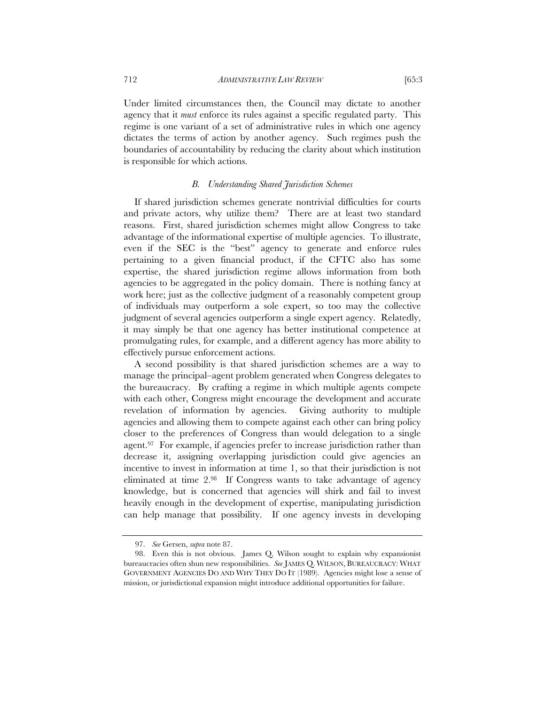Under limited circumstances then, the Council may dictate to another agency that it *must* enforce its rules against a specific regulated party. This regime is one variant of a set of administrative rules in which one agency dictates the terms of action by another agency. Such regimes push the boundaries of accountability by reducing the clarity about which institution is responsible for which actions.

# *B. Understanding Shared Jurisdiction Schemes*

If shared jurisdiction schemes generate nontrivial difficulties for courts and private actors, why utilize them? There are at least two standard reasons. First, shared jurisdiction schemes might allow Congress to take advantage of the informational expertise of multiple agencies. To illustrate, even if the SEC is the "best" agency to generate and enforce rules pertaining to a given financial product, if the CFTC also has some expertise, the shared jurisdiction regime allows information from both agencies to be aggregated in the policy domain. There is nothing fancy at work here; just as the collective judgment of a reasonably competent group of individuals may outperform a sole expert, so too may the collective judgment of several agencies outperform a single expert agency. Relatedly, it may simply be that one agency has better institutional competence at promulgating rules, for example, and a different agency has more ability to effectively pursue enforcement actions.

A second possibility is that shared jurisdiction schemes are a way to manage the principal–agent problem generated when Congress delegates to the bureaucracy. By crafting a regime in which multiple agents compete with each other, Congress might encourage the development and accurate revelation of information by agencies. Giving authority to multiple agencies and allowing them to compete against each other can bring policy closer to the preferences of Congress than would delegation to a single agent.97 For example, if agencies prefer to increase jurisdiction rather than decrease it, assigning overlapping jurisdiction could give agencies an incentive to invest in information at time 1, so that their jurisdiction is not eliminated at time 2.98 If Congress wants to take advantage of agency knowledge, but is concerned that agencies will shirk and fail to invest heavily enough in the development of expertise, manipulating jurisdiction can help manage that possibility. If one agency invests in developing

 <sup>97.</sup> *See* Gersen, *supra* note 87.

 <sup>98.</sup> Even this is not obvious. James Q. Wilson sought to explain why expansionist bureaucracies often shun new responsibilities. *See* JAMES Q. WILSON, BUREAUCRACY: WHAT GOVERNMENT AGENCIES DO AND WHY THEY DO IT (1989). Agencies might lose a sense of mission, or jurisdictional expansion might introduce additional opportunities for failure.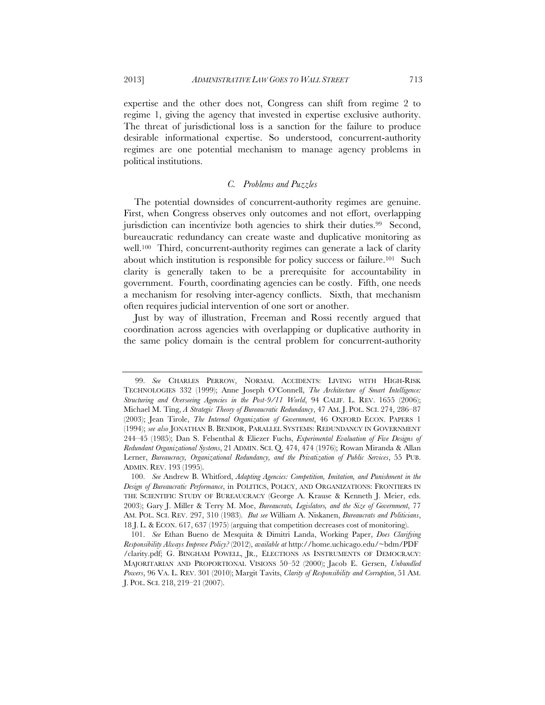expertise and the other does not, Congress can shift from regime 2 to regime 1, giving the agency that invested in expertise exclusive authority. The threat of jurisdictional loss is a sanction for the failure to produce desirable informational expertise. So understood, concurrent-authority regimes are one potential mechanism to manage agency problems in political institutions.

# *C. Problems and Puzzles*

The potential downsides of concurrent-authority regimes are genuine. First, when Congress observes only outcomes and not effort, overlapping jurisdiction can incentivize both agencies to shirk their duties.<sup>99</sup> Second, bureaucratic redundancy can create waste and duplicative monitoring as well.<sup>100</sup> Third, concurrent-authority regimes can generate a lack of clarity about which institution is responsible for policy success or failure.101 Such clarity is generally taken to be a prerequisite for accountability in government. Fourth, coordinating agencies can be costly. Fifth, one needs a mechanism for resolving inter-agency conflicts. Sixth, that mechanism often requires judicial intervention of one sort or another.

Just by way of illustration, Freeman and Rossi recently argued that coordination across agencies with overlapping or duplicative authority in the same policy domain is the central problem for concurrent-authority

 <sup>99.</sup> *See* CHARLES PERROW, NORMAL ACCIDENTS: LIVING WITH HIGH-RISK TECHNOLOGIES 332 (1999); Anne Joseph O'Connell, *The Architecture of Smart Intelligence: Structuring and Overseeing Agencies in the Post-9/11 World*, 94 CALIF. L. REV. 1655 (2006); Michael M. Ting, *A Strategic Theory of Bureaucratic Redundancy*, 47 AM. J. POL. SCI. 274, 286–87 (2003); Jean Tirole, *The Internal Organization of Government*, 46 OXFORD ECON. PAPERS 1 (1994); *see also* JONATHAN B. BENDOR, PARALLEL SYSTEMS: REDUNDANCY IN GOVERNMENT 244–45 (1985); Dan S. Felsenthal & Eliezer Fuchs, *Experimental Evaluation of Five Designs of Redundant Organizational Systems*, 21 ADMIN. SCI. Q. 474, 474 (1976); Rowan Miranda & Allan Lerner, *Bureaucracy, Organizational Redundancy, and the Privatization of Public Services*, 55 PUB. ADMIN. REV. 193 (1995).

 <sup>100.</sup> *See* Andrew B. Whitford, *Adapting Agencies: Competition, Imitation, and Punishment in the Design of Bureaucratic Performance*, in POLITICS, POLICY, AND ORGANIZATIONS: FRONTIERS IN THE SCIENTIFIC STUDY OF BUREAUCRACY (George A. Krause & Kenneth J. Meier, eds. 2003); Gary J. Miller & Terry M. Moe, *Bureaucrats, Legislators, and the Size of Government*, 77 AM. POL. SCI. REV. 297, 310 (1983). *But see* William A. Niskanen, *Bureaucrats and Politicians*, 18 J. L. & ECON. 617, 637 (1975) (arguing that competition decreases cost of monitoring).

 <sup>101.</sup> *See* Ethan Bueno de Mesquita & Dimitri Landa, Working Paper, *Does Clarifying Responsibility Always Improve Policy?* (2012), *available at* http://home.uchicago.edu/~bdm/PDF /clarity.pdf; G. BINGHAM POWELL, JR., ELECTIONS AS INSTRUMENTS OF DEMOCRACY: MAJORITARIAN AND PROPORTIONAL VISIONS 50–52 (2000); Jacob E. Gersen, *Unbundled Powers*, 96 VA. L. REV. 301 (2010); Margit Tavits, *Clarity of Responsibility and Corruption*, 51 AM. J. POL. SCI. 218, 219–21 (2007).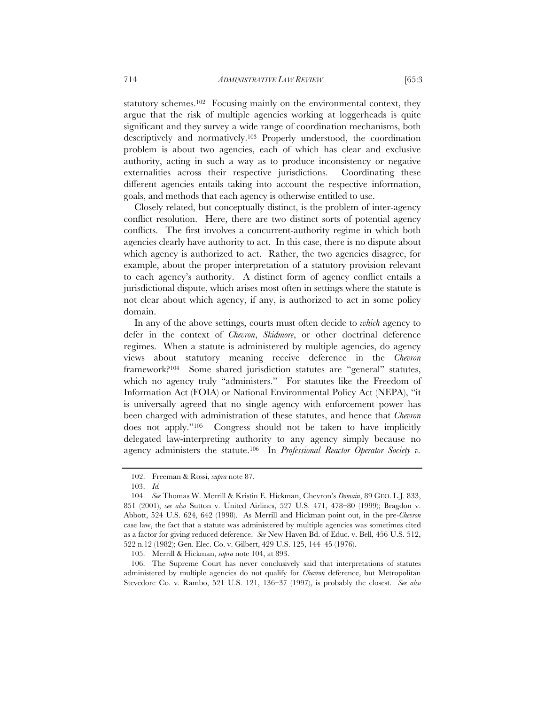statutory schemes.<sup>102</sup> Focusing mainly on the environmental context, they argue that the risk of multiple agencies working at loggerheads is quite significant and they survey a wide range of coordination mechanisms, both descriptively and normatively.103 Properly understood, the coordination problem is about two agencies, each of which has clear and exclusive authority, acting in such a way as to produce inconsistency or negative externalities across their respective jurisdictions. Coordinating these different agencies entails taking into account the respective information,

Closely related, but conceptually distinct, is the problem of inter-agency conflict resolution. Here, there are two distinct sorts of potential agency conflicts. The first involves a concurrent-authority regime in which both agencies clearly have authority to act. In this case, there is no dispute about which agency is authorized to act. Rather, the two agencies disagree, for example, about the proper interpretation of a statutory provision relevant to each agency's authority. A distinct form of agency conflict entails a jurisdictional dispute, which arises most often in settings where the statute is not clear about which agency, if any, is authorized to act in some policy domain.

goals, and methods that each agency is otherwise entitled to use.

In any of the above settings, courts must often decide to *which* agency to defer in the context of *Chevron*, *Skidmore*, or other doctrinal deference regimes. When a statute is administered by multiple agencies, do agency views about statutory meaning receive deference in the *Chevron*  framework?104 Some shared jurisdiction statutes are "general" statutes, which no agency truly "administers." For statutes like the Freedom of Information Act (FOIA) or National Environmental Policy Act (NEPA), "it is universally agreed that no single agency with enforcement power has been charged with administration of these statutes, and hence that *Chevron*  does not apply."105 Congress should not be taken to have implicitly delegated law-interpreting authority to any agency simply because no agency administers the statute.106 In *Professional Reactor Operator Society v.* 

 106. The Supreme Court has never conclusively said that interpretations of statutes administered by multiple agencies do not qualify for *Chevron* deference, but Metropolitan Stevedore Co. v. Rambo, 521 U.S. 121, 136–37 (1997), is probably the closest. *See also* 

 <sup>102.</sup> Freeman & Rossi, *supra* note 87.

 <sup>103.</sup> *Id.*

 <sup>104.</sup> *See* Thomas W. Merrill & Kristin E. Hickman, Chevron's *Domain*, 89 GEO. L.J. 833, 851 (2001); *see also* Sutton v. United Airlines, 527 U.S. 471, 478–80 (1999); Bragdon v. Abbott, 524 U.S. 624, 642 (1998). As Merrill and Hickman point out, in the pre-*Chevron*  case law, the fact that a statute was administered by multiple agencies was sometimes cited as a factor for giving reduced deference. *See* New Haven Bd. of Educ. v. Bell, 456 U.S. 512, 522 n.12 (1982); Gen. Elec. Co. v. Gilbert, 429 U.S. 125, 144–45 (1976).

 <sup>105.</sup> Merrill & Hickman, *supra* note 104, at 893.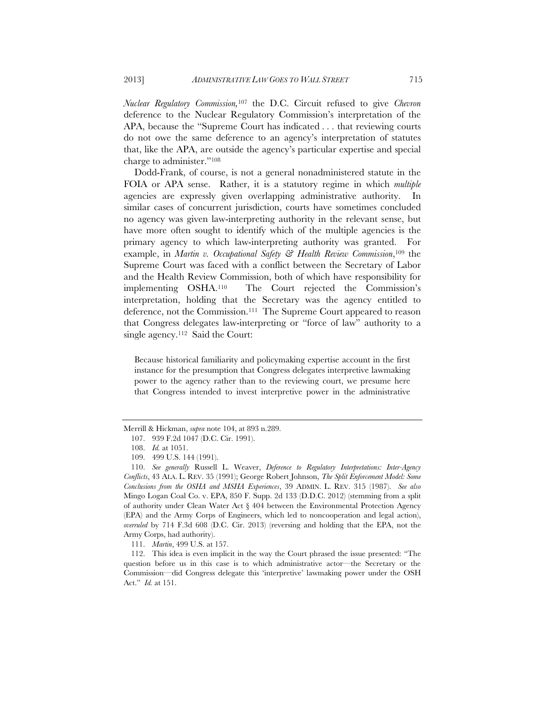*Nuclear Regulatory Commission,*107 the D.C. Circuit refused to give *Chevron*  deference to the Nuclear Regulatory Commission's interpretation of the APA, because the "Supreme Court has indicated . . . that reviewing courts do not owe the same deference to an agency's interpretation of statutes that, like the APA, are outside the agency's particular expertise and special charge to administer."108

Dodd-Frank, of course, is not a general nonadministered statute in the FOIA or APA sense. Rather, it is a statutory regime in which *multiple* agencies are expressly given overlapping administrative authority. In similar cases of concurrent jurisdiction, courts have sometimes concluded no agency was given law-interpreting authority in the relevant sense, but have more often sought to identify which of the multiple agencies is the primary agency to which law-interpreting authority was granted. example, in *Martin v. Occupational Safety & Health Review Commission*,109 the Supreme Court was faced with a conflict between the Secretary of Labor and the Health Review Commission, both of which have responsibility for implementing OSHA.110 The Court rejected the Commission's interpretation, holding that the Secretary was the agency entitled to deference, not the Commission.111 The Supreme Court appeared to reason that Congress delegates law-interpreting or "force of law" authority to a single agency.<sup>112</sup> Said the Court:

Because historical familiarity and policymaking expertise account in the first instance for the presumption that Congress delegates interpretive lawmaking power to the agency rather than to the reviewing court, we presume here that Congress intended to invest interpretive power in the administrative

Merrill & Hickman, *supra* note 104, at 893 n.289.

 <sup>107. 939</sup> F.2d 1047 (D.C. Cir. 1991).

 <sup>108.</sup> *Id.* at 1051.

 <sup>109. 499</sup> U.S. 144 (1991).

 <sup>110.</sup> *See generally* Russell L. Weaver, *Deference to Regulatory Interpretations: Inter-Agency Conflicts*, 43 ALA. L. REV. 35 (1991); George Robert Johnson, *The Split Enforcement Model: Some Conclusions from the OSHA and MSHA Experiences*, 39 ADMIN. L. REV. 315 (1987). *See also*  Mingo Logan Coal Co. v. EPA, 850 F. Supp. 2d 133 (D.D.C. 2012) (stemming from a split of authority under Clean Water Act § 404 between the Environmental Protection Agency (EPA) and the Army Corps of Engineers, which led to noncooperation and legal action), *overruled* by 714 F.3d 608 (D.C. Cir. 2013) (reversing and holding that the EPA, not the Army Corps, had authority).

 <sup>111.</sup> *Martin*, 499 U.S. at 157.

 <sup>112.</sup> This idea is even implicit in the way the Court phrased the issue presented: "The question before us in this case is to which administrative actor—the Secretary or the Commission—did Congress delegate this 'interpretive' lawmaking power under the OSH Act." *Id.* at 151.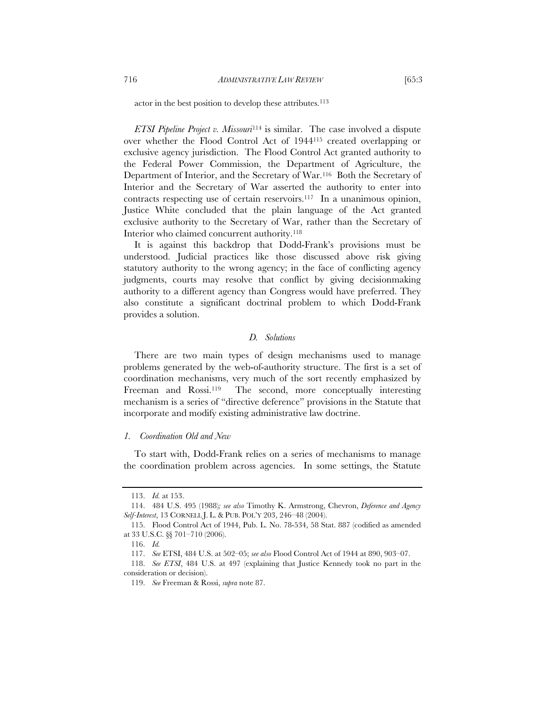actor in the best position to develop these attributes.<sup>113</sup>

*ETSI Pipeline Project v. Missouri*114 is similar. The case involved a dispute over whether the Flood Control Act of 1944115 created overlapping or exclusive agency jurisdiction. The Flood Control Act granted authority to the Federal Power Commission, the Department of Agriculture, the Department of Interior, and the Secretary of War.116 Both the Secretary of Interior and the Secretary of War asserted the authority to enter into contracts respecting use of certain reservoirs.117 In a unanimous opinion, Justice White concluded that the plain language of the Act granted exclusive authority to the Secretary of War, rather than the Secretary of Interior who claimed concurrent authority.118

It is against this backdrop that Dodd-Frank's provisions must be understood. Judicial practices like those discussed above risk giving statutory authority to the wrong agency; in the face of conflicting agency judgments, courts may resolve that conflict by giving decisionmaking authority to a different agency than Congress would have preferred. They also constitute a significant doctrinal problem to which Dodd-Frank provides a solution.

# *D. Solutions*

There are two main types of design mechanisms used to manage problems generated by the web-of-authority structure. The first is a set of coordination mechanisms, very much of the sort recently emphasized by Freeman and Rossi.<sup>119</sup> The second, more conceptually interesting mechanism is a series of "directive deference" provisions in the Statute that incorporate and modify existing administrative law doctrine.

# *1. Coordination Old and New*

To start with, Dodd-Frank relies on a series of mechanisms to manage the coordination problem across agencies. In some settings, the Statute

 <sup>113.</sup> *Id.* at 153.

 <sup>114. 484</sup> U.S. 495 (1988)*; see also* Timothy K. Armstrong, Chevron, *Deference and Agency Self-Interest*, 13 CORNELL J. L. & PUB. POL'Y 203, 246–48 (2004).

 <sup>115.</sup> Flood Control Act of 1944, Pub. L. No. 78-534, 58 Stat. 887 (codified as amended at 33 U.S.C. §§ 701–710 (2006).

 <sup>116.</sup> *Id.*

 <sup>117.</sup> *See* ETSI, 484 U.S. at 502–05; *see also* Flood Control Act of 1944 at 890, 903–07.

 <sup>118.</sup> *See ETSI*, 484 U.S. at 497 (explaining that Justice Kennedy took no part in the consideration or decision).

 <sup>119.</sup> *See* Freeman & Rossi, *supra* note 87.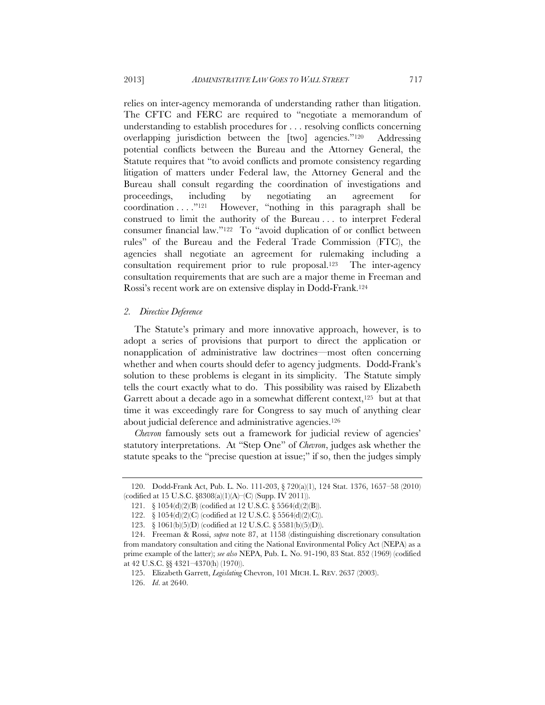relies on inter-agency memoranda of understanding rather than litigation. The CFTC and FERC are required to "negotiate a memorandum of understanding to establish procedures for . . . resolving conflicts concerning overlapping jurisdiction between the [two] agencies."120 Addressing potential conflicts between the Bureau and the Attorney General, the Statute requires that "to avoid conflicts and promote consistency regarding litigation of matters under Federal law, the Attorney General and the Bureau shall consult regarding the coordination of investigations and proceedings, including by negotiating an agreement for coordination . . . ."121 However, "nothing in this paragraph shall be construed to limit the authority of the Bureau . . . to interpret Federal consumer financial law."122 To "avoid duplication of or conflict between rules" of the Bureau and the Federal Trade Commission (FTC), the agencies shall negotiate an agreement for rulemaking including a consultation requirement prior to rule proposal.123 The inter-agency consultation requirements that are such are a major theme in Freeman and Rossi's recent work are on extensive display in Dodd-Frank.124

# *2. Directive Deference*

The Statute's primary and more innovative approach, however, is to adopt a series of provisions that purport to direct the application or nonapplication of administrative law doctrines—most often concerning whether and when courts should defer to agency judgments. Dodd-Frank's solution to these problems is elegant in its simplicity. The Statute simply tells the court exactly what to do. This possibility was raised by Elizabeth Garrett about a decade ago in a somewhat different context,<sup>125</sup> but at that time it was exceedingly rare for Congress to say much of anything clear about judicial deference and administrative agencies.<sup>126</sup>

*Chevron* famously sets out a framework for judicial review of agencies' statutory interpretations. At "Step One" of *Chevron*, judges ask whether the statute speaks to the "precise question at issue;" if so, then the judges simply

 <sup>120.</sup> Dodd-Frank Act, Pub. L. No. 111-203, § 720(a)(1), 124 Stat. 1376, 1657–58 (2010) (codified at 15 U.S.C. §8308(a)(1)(A)–(C) (Supp. IV 2011)).

 <sup>121. § 1054(</sup>d)(2)(B) (codified at 12 U.S.C. § 5564(d)(2)(B)).

 <sup>122. § 1054(</sup>d)(2)(C) (codified at 12 U.S.C. § 5564(d)(2)(C)).

 <sup>123. § 1061(</sup>b)(5)(D) (codified at 12 U.S.C. § 5581(b)(5)(D)).

 <sup>124.</sup> Freeman & Rossi, *supra* note 87, at 1158 (distinguishing discretionary consultation from mandatory consultation and citing the National Environmental Policy Act (NEPA) as a prime example of the latter); *see also* NEPA, Pub. L. No. 91-190, 83 Stat. 852 (1969) (codified at 42 U.S.C. §§ 4321–4370(h) (1970)).

 <sup>125.</sup> Elizabeth Garrett, *Legislating* Chevron, 101 MICH. L. REV. 2637 (2003).

 <sup>126.</sup> *Id*. at 2640.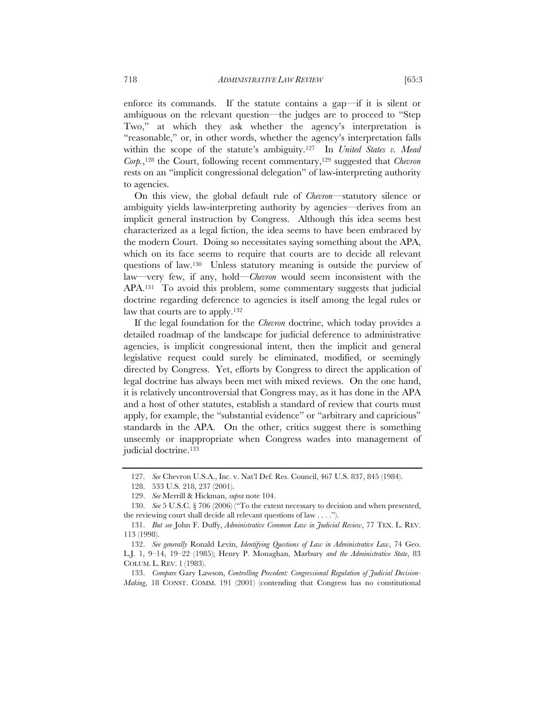enforce its commands. If the statute contains a gap—if it is silent or ambiguous on the relevant question—the judges are to proceed to "Step Two," at which they ask whether the agency's interpretation is "reasonable," or, in other words, whether the agency's interpretation falls within the scope of the statute's ambiguity.127 In *United States v. Mead Corp.*,128 the Court, following recent commentary,129 suggested that *Chevron* rests on an "implicit congressional delegation" of law-interpreting authority to agencies.

On this view, the global default rule of *Chevron*—statutory silence or ambiguity yields law-interpreting authority by agencies—derives from an implicit general instruction by Congress. Although this idea seems best characterized as a legal fiction, the idea seems to have been embraced by the modern Court. Doing so necessitates saying something about the APA, which on its face seems to require that courts are to decide all relevant questions of law.130 Unless statutory meaning is outside the purview of law—very few, if any, hold—*Chevron* would seem inconsistent with the APA.131 To avoid this problem, some commentary suggests that judicial doctrine regarding deference to agencies is itself among the legal rules or law that courts are to apply.132

If the legal foundation for the *Chevron* doctrine, which today provides a detailed roadmap of the landscape for judicial deference to administrative agencies, is implicit congressional intent, then the implicit and general legislative request could surely be eliminated, modified, or seemingly directed by Congress. Yet, efforts by Congress to direct the application of legal doctrine has always been met with mixed reviews. On the one hand, it is relatively uncontroversial that Congress may, as it has done in the APA and a host of other statutes, establish a standard of review that courts must apply, for example, the "substantial evidence" or "arbitrary and capricious" standards in the APA. On the other, critics suggest there is something unseemly or inappropriate when Congress wades into management of judicial doctrine.133

 133. *Compare* Gary Lawson, *Controlling Precedent: Congressional Regulation of Judicial Decision-Making*, 18 CONST. COMM. 191 (2001) (contending that Congress has no constitutional

 <sup>127.</sup> *See* Chevron U.S.A., Inc. v. Nat'l Def. Res. Council, 467 U.S. 837, 845 (1984).

 <sup>128. 533</sup> U.S. 218, 237 (2001).

 <sup>129.</sup> *See* Merrill & Hickman, *supra* note 104.

 <sup>130.</sup> *See* 5 U.S.C. § 706 (2006) ("To the extent necessary to decision and when presented, the reviewing court shall decide all relevant questions of law . . . .").

 <sup>131.</sup> *But see* John F. Duffy, *Administrative Common Law in Judicial Review*, 77 TEX. L. REV. 113 (1998).

 <sup>132.</sup> *See generally* Ronald Levin, *Identifying Questions of Law in Administrative Law*, 74 Geo. L.J. 1, 9–14, 19–22 (1985); Henry P. Monaghan, Marbury *and the Administrative State*, 83 COLUM. L. REV. 1 (1983).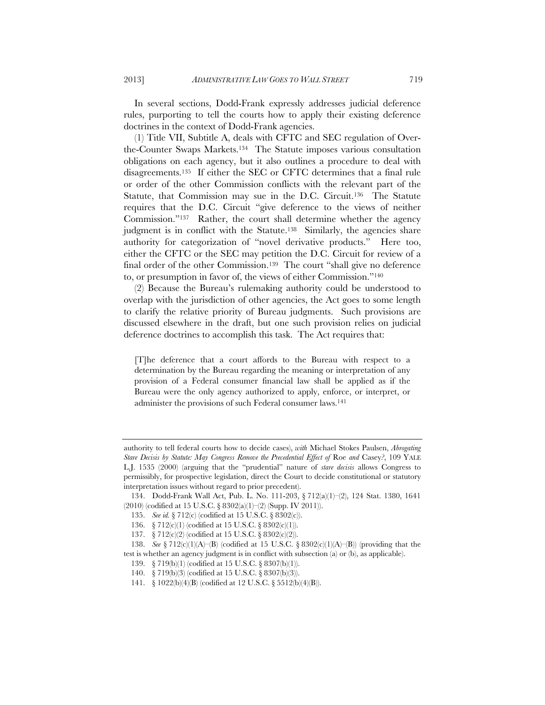In several sections, Dodd-Frank expressly addresses judicial deference rules, purporting to tell the courts how to apply their existing deference doctrines in the context of Dodd-Frank agencies.

(1) Title VII, Subtitle A, deals with CFTC and SEC regulation of Overthe-Counter Swaps Markets.134 The Statute imposes various consultation obligations on each agency, but it also outlines a procedure to deal with disagreements.135 If either the SEC or CFTC determines that a final rule or order of the other Commission conflicts with the relevant part of the Statute, that Commission may sue in the D.C. Circuit.136 The Statute requires that the D.C. Circuit "give deference to the views of neither Commission."137 Rather, the court shall determine whether the agency judgment is in conflict with the Statute.<sup>138</sup> Similarly, the agencies share authority for categorization of "novel derivative products." Here too, either the CFTC or the SEC may petition the D.C. Circuit for review of a final order of the other Commission.139 The court "shall give no deference to, or presumption in favor of, the views of either Commission."140

(2) Because the Bureau's rulemaking authority could be understood to overlap with the jurisdiction of other agencies, the Act goes to some length to clarify the relative priority of Bureau judgments. Such provisions are discussed elsewhere in the draft, but one such provision relies on judicial deference doctrines to accomplish this task. The Act requires that:

[T]he deference that a court affords to the Bureau with respect to a determination by the Bureau regarding the meaning or interpretation of any provision of a Federal consumer financial law shall be applied as if the Bureau were the only agency authorized to apply, enforce, or interpret, or administer the provisions of such Federal consumer laws.141

authority to tell federal courts how to decide cases), *with* Michael Stokes Paulsen, *Abrogating Stare Decisis by Statute: May Congress Remove the Precedential Effect of* Roe *and* Casey*?*, 109 YALE L.J. 1535 (2000) (arguing that the "prudential" nature of *stare decisis* allows Congress to permissibly, for prospective legislation, direct the Court to decide constitutional or statutory interpretation issues without regard to prior precedent).

 <sup>134.</sup> Dodd-Frank Wall Act, Pub. L. No. 111-203, § 712(a)(1)–(2), 124 Stat. 1380, 1641 (2010) (codified at 15 U.S.C. § 8302(a)(1)–(2) (Supp. IV 2011)).

 <sup>135.</sup> *See id.* § 712(c) (codified at 15 U.S.C. § 8302(c)).

 <sup>136. § 712(</sup>c)(1) (codified at 15 U.S.C. § 8302(c)(1)).

 <sup>137. § 712(</sup>c)(2) (codified at 15 U.S.C. § 8302(c)(2)).

 <sup>138.</sup> *See* § 712(c)(1)(A)–(B) (codified at 15 U.S.C. § 8302(c)(1)(A)–(B)) (providing that the test is whether an agency judgment is in conflict with subsection (a) or (b), as applicable).

 <sup>139. § 719(</sup>b)(1) (codified at 15 U.S.C. § 8307(b)(1)).

 <sup>140. § 719(</sup>b)(3) (codified at 15 U.S.C. § 8307(b)(3)).

 <sup>141. § 1022(</sup>b)(4)(B) (codified at 12 U.S.C. § 5512(b)(4)(B)).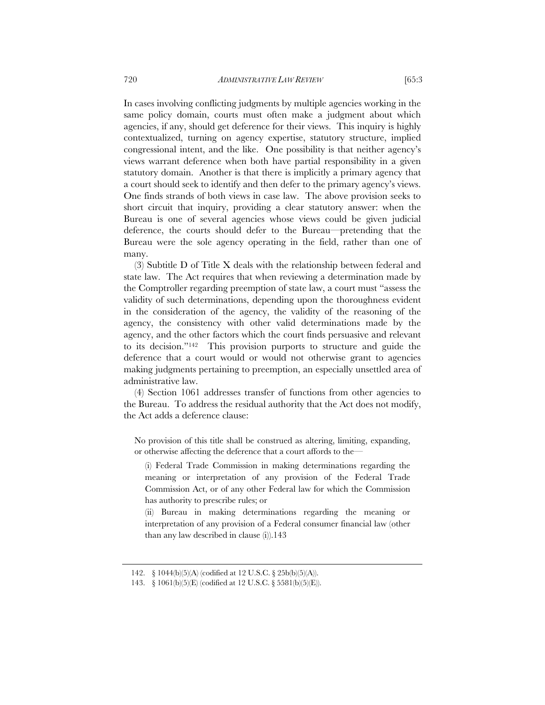In cases involving conflicting judgments by multiple agencies working in the same policy domain, courts must often make a judgment about which agencies, if any, should get deference for their views. This inquiry is highly contextualized, turning on agency expertise, statutory structure, implied congressional intent, and the like. One possibility is that neither agency's views warrant deference when both have partial responsibility in a given statutory domain. Another is that there is implicitly a primary agency that a court should seek to identify and then defer to the primary agency's views. One finds strands of both views in case law. The above provision seeks to short circuit that inquiry, providing a clear statutory answer: when the Bureau is one of several agencies whose views could be given judicial deference, the courts should defer to the Bureau—pretending that the Bureau were the sole agency operating in the field, rather than one of many.

(3) Subtitle D of Title X deals with the relationship between federal and state law. The Act requires that when reviewing a determination made by the Comptroller regarding preemption of state law, a court must "assess the validity of such determinations, depending upon the thoroughness evident in the consideration of the agency, the validity of the reasoning of the agency, the consistency with other valid determinations made by the agency, and the other factors which the court finds persuasive and relevant to its decision."142 This provision purports to structure and guide the deference that a court would or would not otherwise grant to agencies making judgments pertaining to preemption, an especially unsettled area of administrative law.

(4) Section 1061 addresses transfer of functions from other agencies to the Bureau. To address the residual authority that the Act does not modify, the Act adds a deference clause:

No provision of this title shall be construed as altering, limiting, expanding, or otherwise affecting the deference that a court affords to the—

(i) Federal Trade Commission in making determinations regarding the meaning or interpretation of any provision of the Federal Trade Commission Act, or of any other Federal law for which the Commission has authority to prescribe rules; or

(ii) Bureau in making determinations regarding the meaning or interpretation of any provision of a Federal consumer financial law (other than any law described in clause (i)).143

 <sup>142. § 1044(</sup>b)(5)(A) (codified at 12 U.S.C. § 25b(b)(5)(A)).

 <sup>143. § 1061(</sup>b)(5)(E) (codified at 12 U.S.C. § 5581(b)(5)(E)).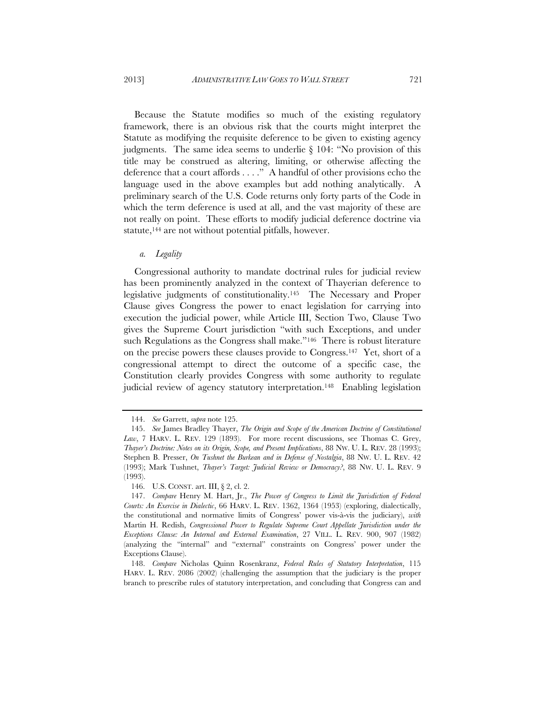Because the Statute modifies so much of the existing regulatory framework, there is an obvious risk that the courts might interpret the Statute as modifying the requisite deference to be given to existing agency judgments. The same idea seems to underlie § 104: "No provision of this title may be construed as altering, limiting, or otherwise affecting the deference that a court affords . . . ." A handful of other provisions echo the language used in the above examples but add nothing analytically. A preliminary search of the U.S. Code returns only forty parts of the Code in which the term deference is used at all, and the vast majority of these are not really on point. These efforts to modify judicial deference doctrine via statute,<sup>144</sup> are not without potential pitfalls, however.

# *a. Legality*

Congressional authority to mandate doctrinal rules for judicial review has been prominently analyzed in the context of Thayerian deference to legislative judgments of constitutionality.145 The Necessary and Proper Clause gives Congress the power to enact legislation for carrying into execution the judicial power, while Article III, Section Two, Clause Two gives the Supreme Court jurisdiction "with such Exceptions, and under such Regulations as the Congress shall make."<sup>146</sup> There is robust literature on the precise powers these clauses provide to Congress.147 Yet, short of a congressional attempt to direct the outcome of a specific case, the Constitution clearly provides Congress with some authority to regulate judicial review of agency statutory interpretation.<sup>148</sup> Enabling legislation

 <sup>144.</sup> *See* Garrett, *supra* note 125.

 <sup>145.</sup> *See* James Bradley Thayer, *The Origin and Scope of the American Doctrine of Constitutional Law*, 7 HARV. L. REV. 129 (1893). For more recent discussions, see Thomas C. Grey, *Thayer's Doctrine: Notes on its Origin, Scope, and Present Implications*, 88 NW. U. L. REV. 28 (1993); Stephen B. Presser, *On Tushnet the Burkean and in Defense of Nostalgia*, 88 NW. U. L. REV. 42 (1993); Mark Tushnet, *Thayer's Target: Judicial Review or Democracy?*, 88 NW. U. L. REV. 9 (1993).

 <sup>146.</sup> U.S. CONST. art. III, § 2, cl. 2.

 <sup>147.</sup> *Compare* Henry M. Hart, Jr., *The Power of Congress to Limit the Jurisdiction of Federal Courts: An Exercise in Dialectic*, 66 HARV. L. REV. 1362, 1364 (1953) (exploring, dialectically, the constitutional and normative limits of Congress' power vis-à-vis the judiciary), *with* Martin H. Redish, *Congressional Power to Regulate Supreme Court Appellate Jurisdiction under the Exceptions Clause: An Internal and External Examination*, 27 VILL. L. REV. 900, 907 (1982) (analyzing the "internal" and "external" constraints on Congress' power under the Exceptions Clause).

 <sup>148.</sup> *Compare* Nicholas Quinn Rosenkranz, *Federal Rules of Statutory Interpretation*, 115 HARV. L. REV. 2086 (2002) (challenging the assumption that the judiciary is the proper branch to prescribe rules of statutory interpretation, and concluding that Congress can and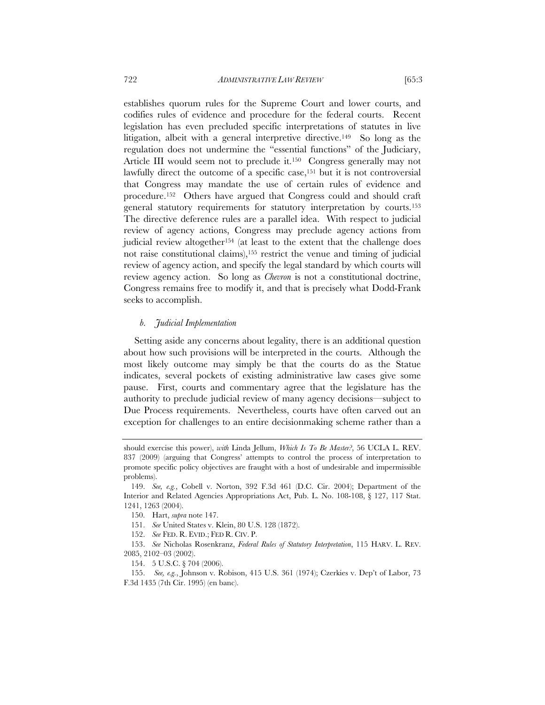establishes quorum rules for the Supreme Court and lower courts, and codifies rules of evidence and procedure for the federal courts. Recent legislation has even precluded specific interpretations of statutes in live litigation, albeit with a general interpretive directive.149 So long as the regulation does not undermine the "essential functions" of the Judiciary, Article III would seem not to preclude it.<sup>150</sup> Congress generally may not lawfully direct the outcome of a specific case,<sup>151</sup> but it is not controversial that Congress may mandate the use of certain rules of evidence and procedure.152 Others have argued that Congress could and should craft general statutory requirements for statutory interpretation by courts.153 The directive deference rules are a parallel idea. With respect to judicial review of agency actions, Congress may preclude agency actions from judicial review altogether154 (at least to the extent that the challenge does not raise constitutional claims),155 restrict the venue and timing of judicial review of agency action, and specify the legal standard by which courts will review agency action. So long as *Chevron* is not a constitutional doctrine, Congress remains free to modify it, and that is precisely what Dodd-Frank

# *b. Judicial Implementation*

seeks to accomplish.

Setting aside any concerns about legality, there is an additional question about how such provisions will be interpreted in the courts. Although the most likely outcome may simply be that the courts do as the Statue indicates, several pockets of existing administrative law cases give some pause. First, courts and commentary agree that the legislature has the authority to preclude judicial review of many agency decisions—subject to Due Process requirements. Nevertheless, courts have often carved out an exception for challenges to an entire decisionmaking scheme rather than a

should exercise this power), *with* Linda Jellum, *Which Is To Be Master?*, 56 UCLA L. REV. 837 (2009) (arguing that Congress' attempts to control the process of interpretation to promote specific policy objectives are fraught with a host of undesirable and impermissible problems).

 <sup>149.</sup> *See, e.g.*, Cobell v. Norton, 392 F.3d 461 (D.C. Cir. 2004); Department of the Interior and Related Agencies Appropriations Act, Pub. L. No. 108-108, § 127, 117 Stat. 1241, 1263 (2004).

 <sup>150.</sup> Hart, *supra* note 147.

 <sup>151.</sup> *See* United States v. Klein, 80 U.S. 128 (1872).

 <sup>152.</sup> *See* FED. R. EVID.; FED R. CIV. P.

 <sup>153.</sup> *See* Nicholas Rosenkranz, *Federal Rules of Statutory Interpretation*, 115 HARV. L. REV. 2085, 2102–03 (2002).

 <sup>154. 5</sup> U.S.C. § 704 (2006).

 <sup>155.</sup> *See, e.g.*, Johnson v. Robison, 415 U.S. 361 (1974); Czerkies v. Dep't of Labor, 73 F.3d 1435 (7th Cir. 1995) (en banc).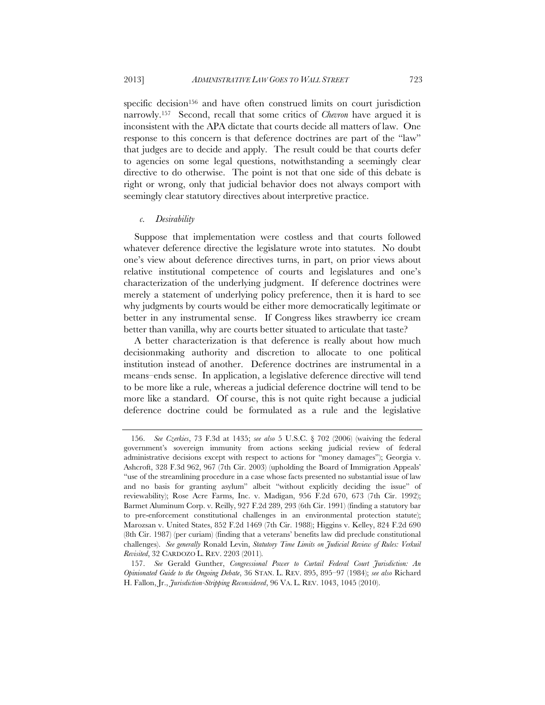specific decision<sup>156</sup> and have often construed limits on court jurisdiction narrowly.157 Second, recall that some critics of *Chevron* have argued it is inconsistent with the APA dictate that courts decide all matters of law. One response to this concern is that deference doctrines are part of the "law" that judges are to decide and apply. The result could be that courts defer to agencies on some legal questions, notwithstanding a seemingly clear directive to do otherwise. The point is not that one side of this debate is right or wrong, only that judicial behavior does not always comport with seemingly clear statutory directives about interpretive practice.

### *c. Desirability*

Suppose that implementation were costless and that courts followed whatever deference directive the legislature wrote into statutes. No doubt one's view about deference directives turns, in part, on prior views about relative institutional competence of courts and legislatures and one's characterization of the underlying judgment. If deference doctrines were merely a statement of underlying policy preference, then it is hard to see why judgments by courts would be either more democratically legitimate or better in any instrumental sense. If Congress likes strawberry ice cream better than vanilla, why are courts better situated to articulate that taste?

A better characterization is that deference is really about how much decisionmaking authority and discretion to allocate to one political institution instead of another. Deference doctrines are instrumental in a means–ends sense. In application, a legislative deference directive will tend to be more like a rule, whereas a judicial deference doctrine will tend to be more like a standard. Of course, this is not quite right because a judicial deference doctrine could be formulated as a rule and the legislative

 <sup>156.</sup> *See Czerkies*, 73 F.3d at 1435; *see also* 5 U.S.C. § 702 (2006) (waiving the federal government's sovereign immunity from actions seeking judicial review of federal administrative decisions except with respect to actions for "money damages"); Georgia v. Ashcroft, 328 F.3d 962, 967 (7th Cir. 2003) (upholding the Board of Immigration Appeals' "use of the streamlining procedure in a case whose facts presented no substantial issue of law and no basis for granting asylum" albeit "without explicitly deciding the issue" of reviewability); Rose Acre Farms, Inc. v. Madigan, 956 F.2d 670, 673 (7th Cir. 1992); Barmet Aluminum Corp. v. Reilly, 927 F.2d 289, 293 (6th Cir. 1991) (finding a statutory bar to pre-enforcement constitutional challenges in an environmental protection statute); Marozsan v. United States, 852 F.2d 1469 (7th Cir. 1988); Higgins v. Kelley, 824 F.2d 690 (8th Cir. 1987) (per curiam) (finding that a veterans' benefits law did preclude constitutional challenges). *See generally* Ronald Levin, *Statutory Time Limits on Judicial Review of Rules: Verkuil Revisited*, 32 CARDOZO L. REV. 2203 (2011)*.* 

 <sup>157.</sup> *See* Gerald Gunther, *Congressional Power to Curtail Federal Court Jurisdiction: An Opinionated Guide to the Ongoing Debate*, 36 STAN. L. REV. 895, 895–97 (1984); *see also* Richard H. Fallon, Jr., *Jurisdiction-Stripping Reconsidered*, 96 VA. L. REV. 1043, 1045 (2010).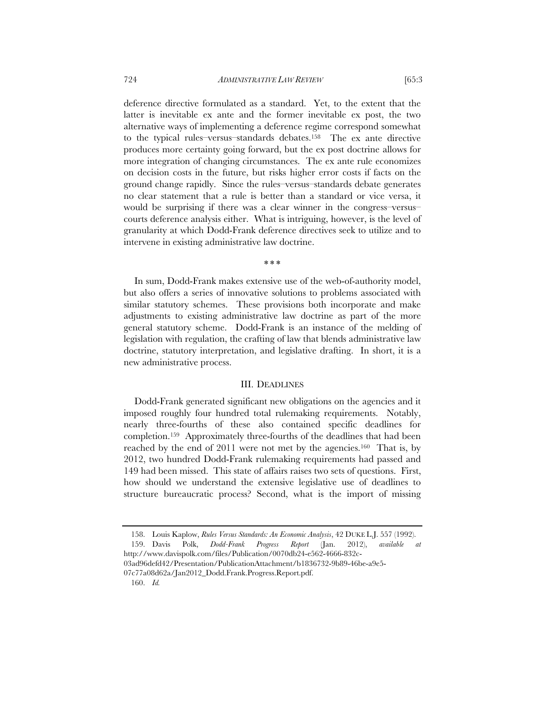deference directive formulated as a standard. Yet, to the extent that the latter is inevitable ex ante and the former inevitable ex post, the two alternative ways of implementing a deference regime correspond somewhat to the typical rules–versus–standards debates.158 The ex ante directive produces more certainty going forward, but the ex post doctrine allows for more integration of changing circumstances. The ex ante rule economizes on decision costs in the future, but risks higher error costs if facts on the ground change rapidly. Since the rules–versus–standards debate generates no clear statement that a rule is better than a standard or vice versa, it would be surprising if there was a clear winner in the congress–versus– courts deference analysis either. What is intriguing, however, is the level of granularity at which Dodd-Frank deference directives seek to utilize and to

\* \* \*

intervene in existing administrative law doctrine.

In sum, Dodd-Frank makes extensive use of the web-of-authority model, but also offers a series of innovative solutions to problems associated with similar statutory schemes. These provisions both incorporate and make adjustments to existing administrative law doctrine as part of the more general statutory scheme. Dodd-Frank is an instance of the melding of legislation with regulation, the crafting of law that blends administrative law doctrine, statutory interpretation, and legislative drafting. In short, it is a new administrative process.

# III. DEADLINES

Dodd-Frank generated significant new obligations on the agencies and it imposed roughly four hundred total rulemaking requirements. Notably, nearly three-fourths of these also contained specific deadlines for completion.159 Approximately three-fourths of the deadlines that had been reached by the end of 2011 were not met by the agencies.160 That is, by 2012, two hundred Dodd-Frank rulemaking requirements had passed and 149 had been missed. This state of affairs raises two sets of questions. First, how should we understand the extensive legislative use of deadlines to structure bureaucratic process? Second, what is the import of missing

http://www.davispolk.com/files/Publication/0070db24-e562-4666-832c-

03ad96defd42/Presentation/PublicationAttachment/b1836732-9b89-46be-a9e5- 07c77a08d62a/Jan2012\_Dodd.Frank.Progress.Report.pdf.

160. *Id.*

 <sup>158.</sup> Louis Kaplow, *Rules Versus Standards: An Economic Analysis*, 42 DUKE L.J. 557 (1992). 159. Davis Polk, *Dodd-Frank Progress Report* (Jan. 2012), *available at*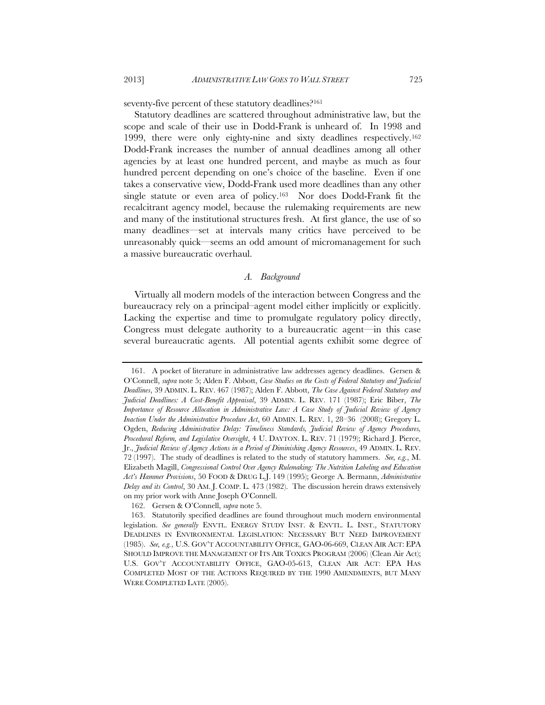seventy-five percent of these statutory deadlines?<sup>161</sup>

Statutory deadlines are scattered throughout administrative law, but the scope and scale of their use in Dodd-Frank is unheard of. In 1998 and 1999, there were only eighty-nine and sixty deadlines respectively.162 Dodd-Frank increases the number of annual deadlines among all other agencies by at least one hundred percent, and maybe as much as four hundred percent depending on one's choice of the baseline. Even if one takes a conservative view, Dodd-Frank used more deadlines than any other single statute or even area of policy.<sup>163</sup> Nor does Dodd-Frank fit the recalcitrant agency model, because the rulemaking requirements are new and many of the institutional structures fresh. At first glance, the use of so many deadlines—set at intervals many critics have perceived to be unreasonably quick—seems an odd amount of micromanagement for such a massive bureaucratic overhaul.

# *A. Background*

Virtually all modern models of the interaction between Congress and the bureaucracy rely on a principal–agent model either implicitly or explicitly. Lacking the expertise and time to promulgate regulatory policy directly, Congress must delegate authority to a bureaucratic agent—in this case several bureaucratic agents. All potential agents exhibit some degree of

162. Gersen & O'Connell, *supra* note 5.

 <sup>161.</sup> A pocket of literature in administrative law addresses agency deadlines. Gersen & O'Connell, *supra* note 5; Alden F. Abbott, *Case Studies on the Costs of Federal Statutory and Judicial Deadlines*, 39 ADMIN. L. REV. 467 (1987); Alden F. Abbott, *The Case Against Federal Statutory and Judicial Deadlines: A Cost-Benefit Appraisal*, 39 ADMIN. L. REV. 171 (1987); Eric Biber, *The Importance of Resource Allocation in Administrative Law: A Case Study of Judicial Review of Agency Inaction Under the Administrative Procedure Act*, 60 ADMIN. L. REV. 1, 28–36 (2008); Gregory L. Ogden, *Reducing Administrative Delay: Timeliness Standards, Judicial Review of Agency Procedures, Procedural Reform, and Legislative Oversight*, 4 U. DAYTON. L. REV. 71 (1979); Richard J. Pierce, Jr., *Judicial Review of Agency Actions in a Period of Diminishing Agency Resources*, 49 ADMIN. L. REV. 72 (1997). The study of deadlines is related to the study of statutory hammers. *See, e.g.*, M. Elizabeth Magill, *Congressional Control Over Agency Rulemaking: The Nutrition Labeling and Education Act's Hammer Provisions*, 50 FOOD & DRUG L.J. 149 (1995); George A. Bermann, *Administrative Delay and its Control*, 30 AM. J. COMP. L. 473 (1982). The discussion herein draws extensively on my prior work with Anne Joseph O'Connell.

 <sup>163.</sup> Statutorily specified deadlines are found throughout much modern environmental legislation. *See generally* ENVTL. ENERGY STUDY INST. & ENVTL. L. INST., STATUTORY DEADLINES IN ENVIRONMENTAL LEGISLATION: NECESSARY BUT NEED IMPROVEMENT (1985). *See, e.g.*, U.S. GOV'T ACCOUNTABILITY OFFICE, GAO-06-669, CLEAN AIR ACT: EPA SHOULD IMPROVE THE MANAGEMENT OF ITS AIR TOXICS PROGRAM (2006) (Clean Air Act); U.S. GOV'T ACCOUNTABILITY OFFICE, GAO-05-613, CLEAN AIR ACT: EPA HAS COMPLETED MOST OF THE ACTIONS REQUIRED BY THE 1990 AMENDMENTS, BUT MANY WERE COMPLETED LATE (2005).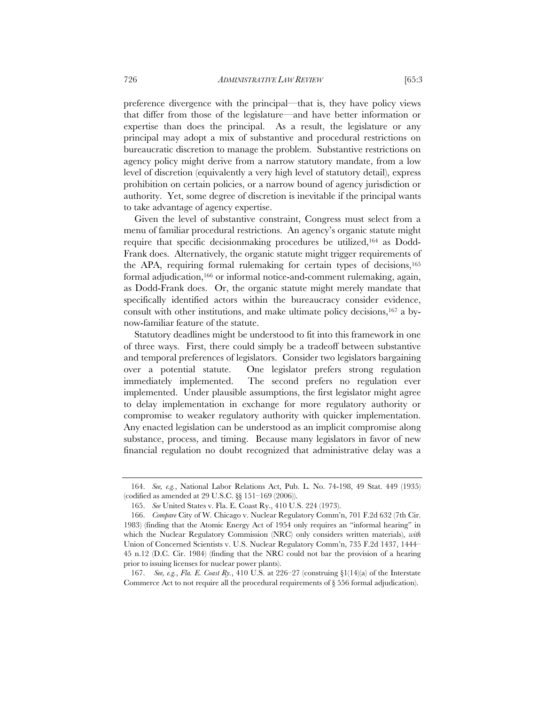preference divergence with the principal—that is, they have policy views that differ from those of the legislature—and have better information or expertise than does the principal. As a result, the legislature or any principal may adopt a mix of substantive and procedural restrictions on bureaucratic discretion to manage the problem. Substantive restrictions on agency policy might derive from a narrow statutory mandate, from a low level of discretion (equivalently a very high level of statutory detail), express prohibition on certain policies, or a narrow bound of agency jurisdiction or authority. Yet, some degree of discretion is inevitable if the principal wants to take advantage of agency expertise.

Given the level of substantive constraint, Congress must select from a menu of familiar procedural restrictions. An agency's organic statute might require that specific decisionmaking procedures be utilized,164 as Dodd-Frank does. Alternatively, the organic statute might trigger requirements of the APA, requiring formal rulemaking for certain types of decisions,165 formal adjudication,<sup>166</sup> or informal notice-and-comment rulemaking, again, as Dodd-Frank does. Or, the organic statute might merely mandate that specifically identified actors within the bureaucracy consider evidence, consult with other institutions, and make ultimate policy decisions,167 a bynow-familiar feature of the statute.

Statutory deadlines might be understood to fit into this framework in one of three ways. First, there could simply be a tradeoff between substantive and temporal preferences of legislators. Consider two legislators bargaining over a potential statute. One legislator prefers strong regulation immediately implemented. The second prefers no regulation ever implemented. Under plausible assumptions, the first legislator might agree to delay implementation in exchange for more regulatory authority or compromise to weaker regulatory authority with quicker implementation. Any enacted legislation can be understood as an implicit compromise along substance, process, and timing. Because many legislators in favor of new financial regulation no doubt recognized that administrative delay was a

 <sup>164.</sup> *See, e.g.*, National Labor Relations Act, Pub. L. No. 74-198, 49 Stat. 449 (1935) (codified as amended at 29 U.S.C. §§ 151–169 (2006)).

 <sup>165.</sup> *See* United States v. Fla. E. Coast Ry., 410 U.S. 224 (1973).

 <sup>166.</sup> *Compare* City of W. Chicago v. Nuclear Regulatory Comm'n, 701 F.2d 632 (7th Cir. 1983) (finding that the Atomic Energy Act of 1954 only requires an "informal hearing" in which the Nuclear Regulatory Commission (NRC) only considers written materials), *with*  Union of Concerned Scientists v. U.S. Nuclear Regulatory Comm'n, 735 F.2d 1437, 1444– 45 n.12 (D.C. Cir. 1984) (finding that the NRC could not bar the provision of a hearing prior to issuing licenses for nuclear power plants).

 <sup>167.</sup> *See, e.g.*, *Fla. E. Coast Ry.*, 410 U.S. at 226–27 (construing §1(14)(a) of the Interstate Commerce Act to not require all the procedural requirements of § 556 formal adjudication).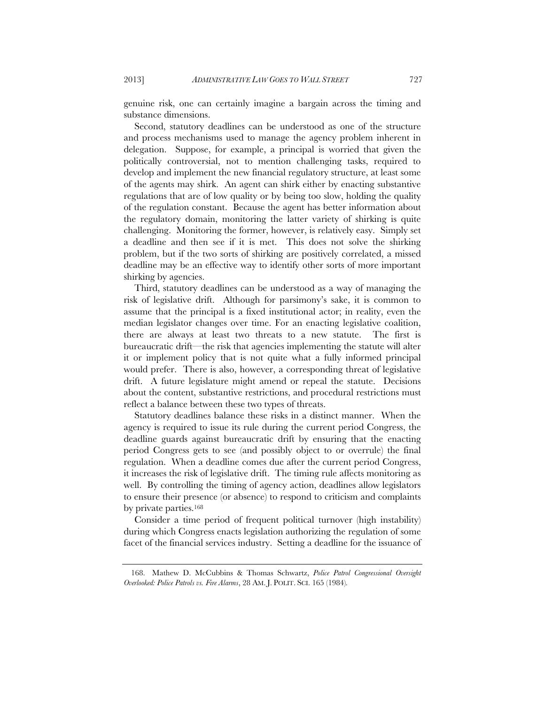genuine risk, one can certainly imagine a bargain across the timing and substance dimensions.

Second, statutory deadlines can be understood as one of the structure and process mechanisms used to manage the agency problem inherent in delegation. Suppose, for example, a principal is worried that given the politically controversial, not to mention challenging tasks, required to develop and implement the new financial regulatory structure, at least some of the agents may shirk. An agent can shirk either by enacting substantive regulations that are of low quality or by being too slow, holding the quality of the regulation constant. Because the agent has better information about the regulatory domain, monitoring the latter variety of shirking is quite challenging. Monitoring the former, however, is relatively easy. Simply set a deadline and then see if it is met. This does not solve the shirking problem, but if the two sorts of shirking are positively correlated, a missed deadline may be an effective way to identify other sorts of more important shirking by agencies.

Third, statutory deadlines can be understood as a way of managing the risk of legislative drift. Although for parsimony's sake, it is common to assume that the principal is a fixed institutional actor; in reality, even the median legislator changes over time. For an enacting legislative coalition, there are always at least two threats to a new statute. The first is bureaucratic drift—the risk that agencies implementing the statute will alter it or implement policy that is not quite what a fully informed principal would prefer. There is also, however, a corresponding threat of legislative drift. A future legislature might amend or repeal the statute. Decisions about the content, substantive restrictions, and procedural restrictions must reflect a balance between these two types of threats.

Statutory deadlines balance these risks in a distinct manner. When the agency is required to issue its rule during the current period Congress, the deadline guards against bureaucratic drift by ensuring that the enacting period Congress gets to see (and possibly object to or overrule) the final regulation. When a deadline comes due after the current period Congress, it increases the risk of legislative drift. The timing rule affects monitoring as well. By controlling the timing of agency action, deadlines allow legislators to ensure their presence (or absence) to respond to criticism and complaints by private parties.168

Consider a time period of frequent political turnover (high instability) during which Congress enacts legislation authorizing the regulation of some facet of the financial services industry. Setting a deadline for the issuance of

 <sup>168.</sup> Mathew D. McCubbins & Thomas Schwartz, *Police Patrol Congressional Oversight Overlooked: Police Patrols vs. Fire Alarms*, 28 AM. J. POLIT. SCI. 165 (1984)*.*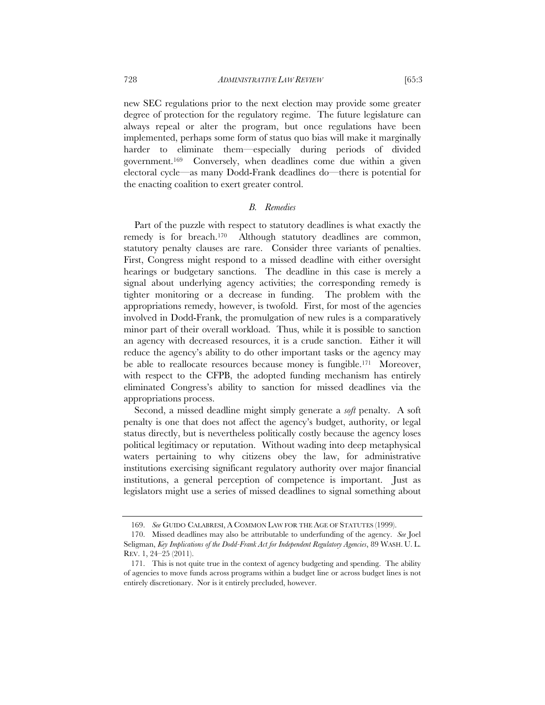new SEC regulations prior to the next election may provide some greater degree of protection for the regulatory regime. The future legislature can always repeal or alter the program, but once regulations have been implemented, perhaps some form of status quo bias will make it marginally harder to eliminate them—especially during periods of divided government.169 Conversely, when deadlines come due within a given electoral cycle—as many Dodd-Frank deadlines do—there is potential for the enacting coalition to exert greater control.

# *B. Remedies*

Part of the puzzle with respect to statutory deadlines is what exactly the remedy is for breach.170 Although statutory deadlines are common, statutory penalty clauses are rare. Consider three variants of penalties. First, Congress might respond to a missed deadline with either oversight hearings or budgetary sanctions. The deadline in this case is merely a signal about underlying agency activities; the corresponding remedy is tighter monitoring or a decrease in funding. The problem with the appropriations remedy, however, is twofold. First, for most of the agencies involved in Dodd-Frank, the promulgation of new rules is a comparatively minor part of their overall workload. Thus, while it is possible to sanction an agency with decreased resources, it is a crude sanction. Either it will reduce the agency's ability to do other important tasks or the agency may be able to reallocate resources because money is fungible.171 Moreover, with respect to the CFPB, the adopted funding mechanism has entirely eliminated Congress's ability to sanction for missed deadlines via the appropriations process.

Second, a missed deadline might simply generate a *soft* penalty. A soft penalty is one that does not affect the agency's budget, authority, or legal status directly, but is nevertheless politically costly because the agency loses political legitimacy or reputation. Without wading into deep metaphysical waters pertaining to why citizens obey the law, for administrative institutions exercising significant regulatory authority over major financial institutions, a general perception of competence is important. Just as legislators might use a series of missed deadlines to signal something about

 <sup>169.</sup> *See* GUIDO CALABRESI, A COMMON LAW FOR THE AGE OF STATUTES (1999).

 <sup>170.</sup> Missed deadlines may also be attributable to underfunding of the agency. *See* Joel Seligman, *Key Implications of the Dodd-Frank Act for Independent Regulatory Agencies*, 89 WASH. U. L. REV. 1, 24–25 (2011).

 <sup>171.</sup> This is not quite true in the context of agency budgeting and spending. The ability of agencies to move funds across programs within a budget line or across budget lines is not entirely discretionary. Nor is it entirely precluded, however.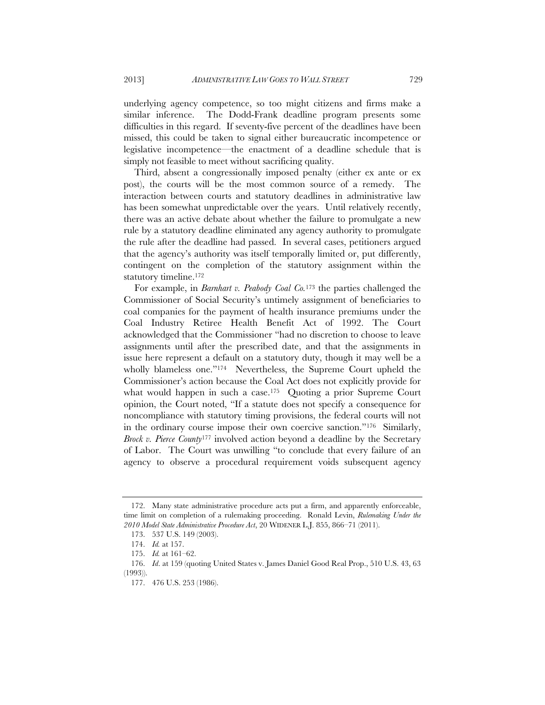underlying agency competence, so too might citizens and firms make a similar inference. The Dodd-Frank deadline program presents some difficulties in this regard. If seventy-five percent of the deadlines have been missed, this could be taken to signal either bureaucratic incompetence or legislative incompetence—the enactment of a deadline schedule that is simply not feasible to meet without sacrificing quality.

Third, absent a congressionally imposed penalty (either ex ante or ex post), the courts will be the most common source of a remedy. The interaction between courts and statutory deadlines in administrative law has been somewhat unpredictable over the years. Until relatively recently, there was an active debate about whether the failure to promulgate a new rule by a statutory deadline eliminated any agency authority to promulgate the rule after the deadline had passed. In several cases, petitioners argued that the agency's authority was itself temporally limited or, put differently, contingent on the completion of the statutory assignment within the statutory timeline.172

For example, in *Barnhart v. Peabody Coal Co.*173 the parties challenged the Commissioner of Social Security's untimely assignment of beneficiaries to coal companies for the payment of health insurance premiums under the Coal Industry Retiree Health Benefit Act of 1992. The Court acknowledged that the Commissioner "had no discretion to choose to leave assignments until after the prescribed date, and that the assignments in issue here represent a default on a statutory duty, though it may well be a wholly blameless one."<sup>174</sup> Nevertheless, the Supreme Court upheld the Commissioner's action because the Coal Act does not explicitly provide for what would happen in such a case.<sup>175</sup> Quoting a prior Supreme Court opinion, the Court noted, "If a statute does not specify a consequence for noncompliance with statutory timing provisions, the federal courts will not in the ordinary course impose their own coercive sanction."176 Similarly, *Brock v. Pierce County*177 involved action beyond a deadline by the Secretary of Labor. The Court was unwilling "to conclude that every failure of an agency to observe a procedural requirement voids subsequent agency

 <sup>172.</sup> Many state administrative procedure acts put a firm, and apparently enforceable, time limit on completion of a rulemaking proceeding. Ronald Levin, *Rulemaking Under the 2010 Model State Administrative Procedure Act*, 20 WIDENER L.J. 855, 866–71 (2011).

 <sup>173. 537</sup> U.S. 149 (2003).

 <sup>174.</sup> *Id.* at 157.

 <sup>175.</sup> *Id.* at 161–62.

 <sup>176.</sup> *Id*. at 159 (quoting United States v. James Daniel Good Real Prop., 510 U.S. 43, 63  $(1993)$ 

 <sup>177. 476</sup> U.S. 253 (1986).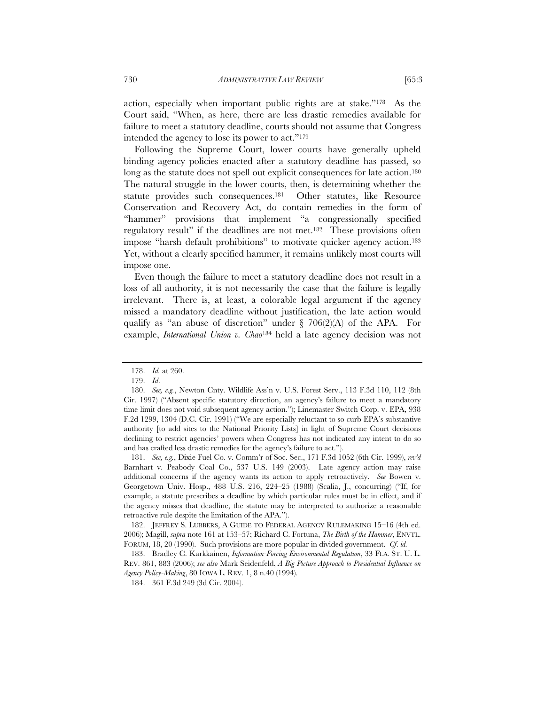action, especially when important public rights are at stake."178 As the Court said, "When, as here, there are less drastic remedies available for failure to meet a statutory deadline, courts should not assume that Congress intended the agency to lose its power to act."179

Following the Supreme Court, lower courts have generally upheld binding agency policies enacted after a statutory deadline has passed, so long as the statute does not spell out explicit consequences for late action.<sup>180</sup> The natural struggle in the lower courts, then, is determining whether the statute provides such consequences.<sup>181</sup> Other statutes, like Resource Conservation and Recovery Act, do contain remedies in the form of "hammer" provisions that implement "a congressionally specified regulatory result" if the deadlines are not met.182 These provisions often impose "harsh default prohibitions" to motivate quicker agency action.183 Yet, without a clearly specified hammer, it remains unlikely most courts will impose one.

Even though the failure to meet a statutory deadline does not result in a loss of all authority, it is not necessarily the case that the failure is legally irrelevant. There is, at least, a colorable legal argument if the agency missed a mandatory deadline without justification, the late action would qualify as "an abuse of discretion" under  $\S$  706(2)(A) of the APA. For example, *International Union v. Chao*184 held a late agency decision was not

 181. *See, e.g.*, Dixie Fuel Co. v. Comm'r of Soc. Sec., 171 F.3d 1052 (6th Cir. 1999), *rev'd* Barnhart v. Peabody Coal Co., 537 U.S. 149 (2003). Late agency action may raise additional concerns if the agency wants its action to apply retroactively. *See* Bowen v. Georgetown Univ. Hosp., 488 U.S. 216, 224–25 (1988) (Scalia, J., concurring) ("If, for example, a statute prescribes a deadline by which particular rules must be in effect, and if the agency misses that deadline, the statute may be interpreted to authorize a reasonable retroactive rule despite the limitation of the APA.").

 182. JEFFREY S. LUBBERS, A GUIDE TO FEDERAL AGENCY RULEMAKING 15–16 (4th ed. 2006); Magill, *supra* note 161 at 153–57; Richard C. Fortuna, *The Birth of the Hammer*, ENVTL. FORUM, 18, 20 (1990). Such provisions are more popular in divided government. *Cf*. *id.*

 183. Bradley C. Karkkainen, *Information-Forcing Environmental Regulation*, 33 FLA. ST. U. L. REV. 861, 883 (2006); *see also* Mark Seidenfeld, *A Big Picture Approach to Presidential Influence on Agency Policy-Making*, 80 IOWA L. REV. 1, 8 n.40 (1994).

184. 361 F.3d 249 (3d Cir. 2004).

 <sup>178.</sup> *Id.* at 260.

 <sup>179.</sup> *Id*.

 <sup>180.</sup> *See, e.g.*, Newton Cnty. Wildlife Ass'n v. U.S. Forest Serv., 113 F.3d 110, 112 (8th Cir. 1997) ("Absent specific statutory direction, an agency's failure to meet a mandatory time limit does not void subsequent agency action."); Linemaster Switch Corp. v. EPA, 938 F.2d 1299, 1304 (D.C. Cir. 1991) ("We are especially reluctant to so curb EPA's substantive authority [to add sites to the National Priority Lists] in light of Supreme Court decisions declining to restrict agencies' powers when Congress has not indicated any intent to do so and has crafted less drastic remedies for the agency's failure to act.").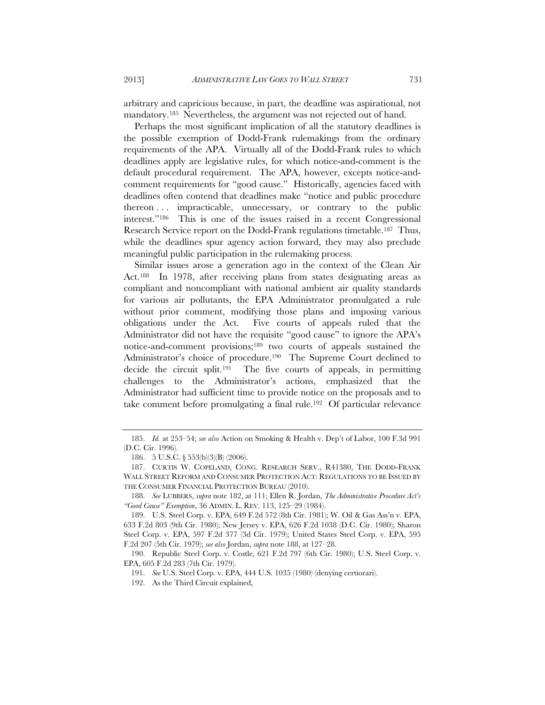arbitrary and capricious because, in part, the deadline was aspirational, not mandatory.185 Nevertheless, the argument was not rejected out of hand.

Perhaps the most significant implication of all the statutory deadlines is the possible exemption of Dodd-Frank rulemakings from the ordinary requirements of the APA. Virtually all of the Dodd-Frank rules to which deadlines apply are legislative rules, for which notice-and-comment is the default procedural requirement. The APA, however, excepts notice-andcomment requirements for "good cause." Historically, agencies faced with deadlines often contend that deadlines make "notice and public procedure thereon . . . impracticable, unnecessary, or contrary to the public interest."186 This is one of the issues raised in a recent Congressional Research Service report on the Dodd-Frank regulations timetable.187 Thus, while the deadlines spur agency action forward, they may also preclude meaningful public participation in the rulemaking process.

Similar issues arose a generation ago in the context of the Clean Air Act.188 In 1978, after receiving plans from states designating areas as compliant and noncompliant with national ambient air quality standards for various air pollutants, the EPA Administrator promulgated a rule without prior comment, modifying those plans and imposing various obligations under the Act. Five courts of appeals ruled that the Administrator did not have the requisite "good cause" to ignore the APA's notice-and-comment provisions;189 two courts of appeals sustained the Administrator's choice of procedure.190 The Supreme Court declined to decide the circuit split.191 The five courts of appeals, in permitting challenges to the Administrator's actions, emphasized that the Administrator had sufficient time to provide notice on the proposals and to take comment before promulgating a final rule.192 Of particular relevance

 <sup>185.</sup> *Id.* at 253–54; *see also* Action on Smoking & Health v. Dep't of Labor, 100 F.3d 991 (D.C. Cir. 1996).

 <sup>186. 5</sup> U.S.C. § 553(b)(3)(B) (2006).

 <sup>187.</sup> CURTIS W. COPELAND, CONG. RESEARCH SERV., R41380, THE DODD-FRANK WALL STREET REFORM AND CONSUMER PROTECTION ACT: REGULATIONS TO BE ISSUED BY THE CONSUMER FINANCIAL PROTECTION BUREAU (2010).

 <sup>188.</sup> *See* LUBBERS, *supra* note 182, at 111; Ellen R. Jordan, *The Administrative Procedure Act's "Good Cause" Exemption*, 36 ADMIN. L. REV. 113, 125–29 (1984).

 <sup>189.</sup> U.S. Steel Corp. v. EPA, 649 F.2d 572 (8th Cir. 1981); W. Oil & Gas Ass'n v. EPA, 633 F.2d 803 (9th Cir. 1980); New Jersey v. EPA, 626 F.2d 1038 (D.C. Cir. 1980); Sharon Steel Corp. v. EPA, 597 F.2d 377 (3d Cir. 1979); United States Steel Corp. v. EPA, 595 F.2d 207 (5th Cir. 1979); *see also* Jordan, *supra* note 188, at 127–28.

 <sup>190.</sup> Republic Steel Corp. v. Costle, 621 F.2d 797 (6th Cir. 1980); U.S. Steel Corp. v. EPA, 605 F.2d 283 (7th Cir. 1979).

 <sup>191.</sup> *See* U.S. Steel Corp. v. EPA, 444 U.S. 1035 (1980) (denying certiorari).

 <sup>192.</sup> As the Third Circuit explained,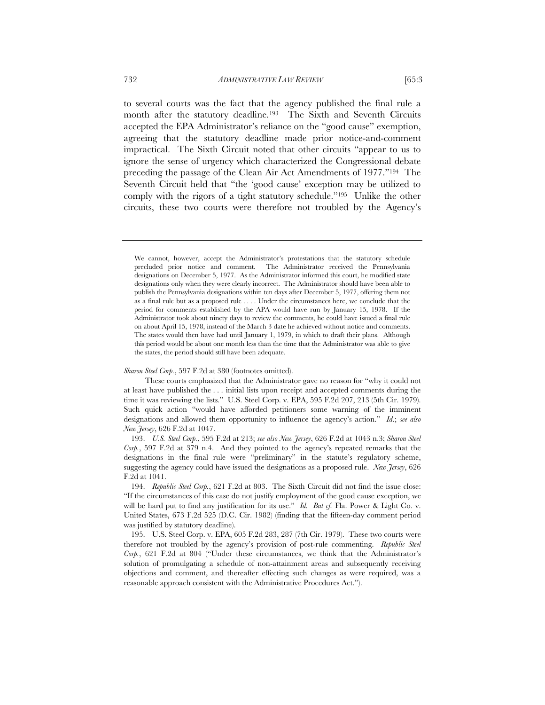to several courts was the fact that the agency published the final rule a month after the statutory deadline.<sup>193</sup> The Sixth and Seventh Circuits accepted the EPA Administrator's reliance on the "good cause" exemption, agreeing that the statutory deadline made prior notice-and-comment impractical. The Sixth Circuit noted that other circuits "appear to us to ignore the sense of urgency which characterized the Congressional debate preceding the passage of the Clean Air Act Amendments of 1977."194 The

Seventh Circuit held that "the 'good cause' exception may be utilized to comply with the rigors of a tight statutory schedule."195 Unlike the other circuits, these two courts were therefore not troubled by the Agency's

*Sharon Steel Corp.*, 597 F.2d at 380 (footnotes omitted).

These courts emphasized that the Administrator gave no reason for "why it could not at least have published the . . . initial lists upon receipt and accepted comments during the time it was reviewing the lists." U.S. Steel Corp. v. EPA, 595 F.2d 207, 213 (5th Cir. 1979). Such quick action "would have afforded petitioners some warning of the imminent designations and allowed them opportunity to influence the agency's action." *Id*.; *see also New Jersey*, 626 F.2d at 1047.

 193. *U.S. Steel Corp.*, 595 F.2d at 213; *see also New Jersey*, 626 F.2d at 1043 n.3; *Sharon Steel Corp.*, 597 F.2d at 379 n.4. And they pointed to the agency's repeated remarks that the designations in the final rule were "preliminary" in the statute's regulatory scheme, suggesting the agency could have issued the designations as a proposed rule. *New Jersey*, 626 F.2d at 1041.

 194. *Republic Steel Corp.*, 621 F.2d at 803. The Sixth Circuit did not find the issue close: "If the circumstances of this case do not justify employment of the good cause exception, we will be hard put to find any justification for its use." *Id. But cf.* Fla. Power & Light Co. v. United States, 673 F.2d 525 (D.C. Cir. 1982) (finding that the fifteen-day comment period was justified by statutory deadline).

 195. U.S. Steel Corp. v. EPA, 605 F.2d 283, 287 (7th Cir. 1979). These two courts were therefore not troubled by the agency's provision of post-rule commenting. *Republic Steel Corp.*, 621 F.2d at 804 ("Under these circumstances, we think that the Administrator's solution of promulgating a schedule of non-attainment areas and subsequently receiving objections and comment, and thereafter effecting such changes as were required, was a reasonable approach consistent with the Administrative Procedures Act.").

We cannot, however, accept the Administrator's protestations that the statutory schedule precluded prior notice and comment. The Administrator received the Pennsylvania designations on December 5, 1977. As the Administrator informed this court, he modified state designations only when they were clearly incorrect. The Administrator should have been able to publish the Pennsylvania designations within ten days after December 5, 1977, offering them not as a final rule but as a proposed rule . . . . Under the circumstances here, we conclude that the period for comments established by the APA would have run by January 15, 1978. If the Administrator took about ninety days to review the comments, he could have issued a final rule on about April 15, 1978, instead of the March 3 date he achieved without notice and comments. The states would then have had until January 1, 1979, in which to draft their plans. Although this period would be about one month less than the time that the Administrator was able to give the states, the period should still have been adequate.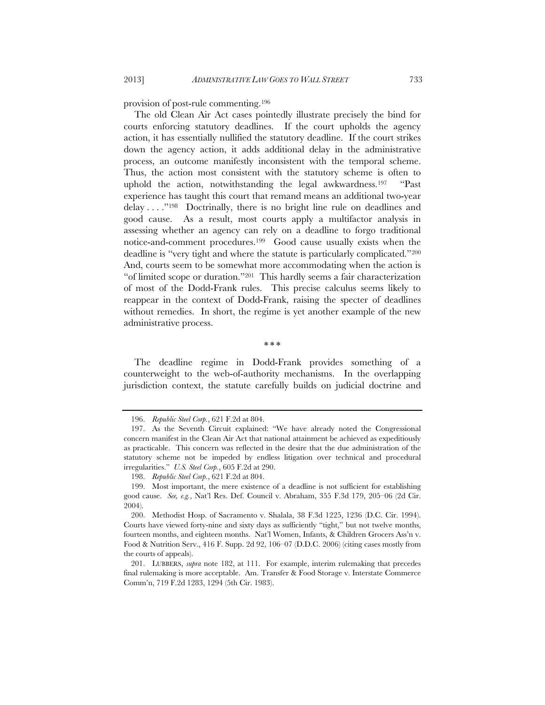provision of post-rule commenting.196

The old Clean Air Act cases pointedly illustrate precisely the bind for courts enforcing statutory deadlines. If the court upholds the agency action, it has essentially nullified the statutory deadline. If the court strikes down the agency action, it adds additional delay in the administrative process, an outcome manifestly inconsistent with the temporal scheme. Thus, the action most consistent with the statutory scheme is often to uphold the action, notwithstanding the legal awkwardness.197 "Past experience has taught this court that remand means an additional two-year delay . . . ."198 Doctrinally, there is no bright line rule on deadlines and good cause. As a result, most courts apply a multifactor analysis in assessing whether an agency can rely on a deadline to forgo traditional notice-and-comment procedures.199 Good cause usually exists when the deadline is "very tight and where the statute is particularly complicated."200 And, courts seem to be somewhat more accommodating when the action is "of limited scope or duration."201 This hardly seems a fair characterization of most of the Dodd-Frank rules. This precise calculus seems likely to reappear in the context of Dodd-Frank, raising the specter of deadlines without remedies. In short, the regime is yet another example of the new administrative process.

\* \* \*

The deadline regime in Dodd-Frank provides something of a counterweight to the web-of-authority mechanisms. In the overlapping jurisdiction context, the statute carefully builds on judicial doctrine and

 <sup>196.</sup> *Republic Steel Corp.*, 621 F.2d at 804.

 <sup>197.</sup> As the Seventh Circuit explained: "We have already noted the Congressional concern manifest in the Clean Air Act that national attainment be achieved as expeditiously as practicable. This concern was reflected in the desire that the due administration of the statutory scheme not be impeded by endless litigation over technical and procedural irregularities." *U.S. Steel Corp.*, 605 F.2d at 290.

 <sup>198.</sup> *Republic Steel Corp.*, 621 F.2d at 804.

 <sup>199.</sup> Most important, the mere existence of a deadline is not sufficient for establishing good cause. *See, e.g.*, Nat'l Res. Def. Council v. Abraham, 355 F.3d 179, 205–06 (2d Cir. 2004).

 <sup>200.</sup> Methodist Hosp. of Sacramento v. Shalala, 38 F.3d 1225, 1236 (D.C. Cir. 1994). Courts have viewed forty-nine and sixty days as sufficiently "tight," but not twelve months, fourteen months, and eighteen months. Nat'l Women, Infants, & Children Grocers Ass'n v. Food & Nutrition Serv., 416 F. Supp. 2d 92, 106–07 (D.D.C. 2006) (citing cases mostly from the courts of appeals).

 <sup>201.</sup> LUBBERS, *supra* note 182, at 111. For example, interim rulemaking that precedes final rulemaking is more acceptable. Am. Transfer & Food Storage v. Interstate Commerce Comm'n, 719 F.2d 1283, 1294 (5th Cir. 1983).